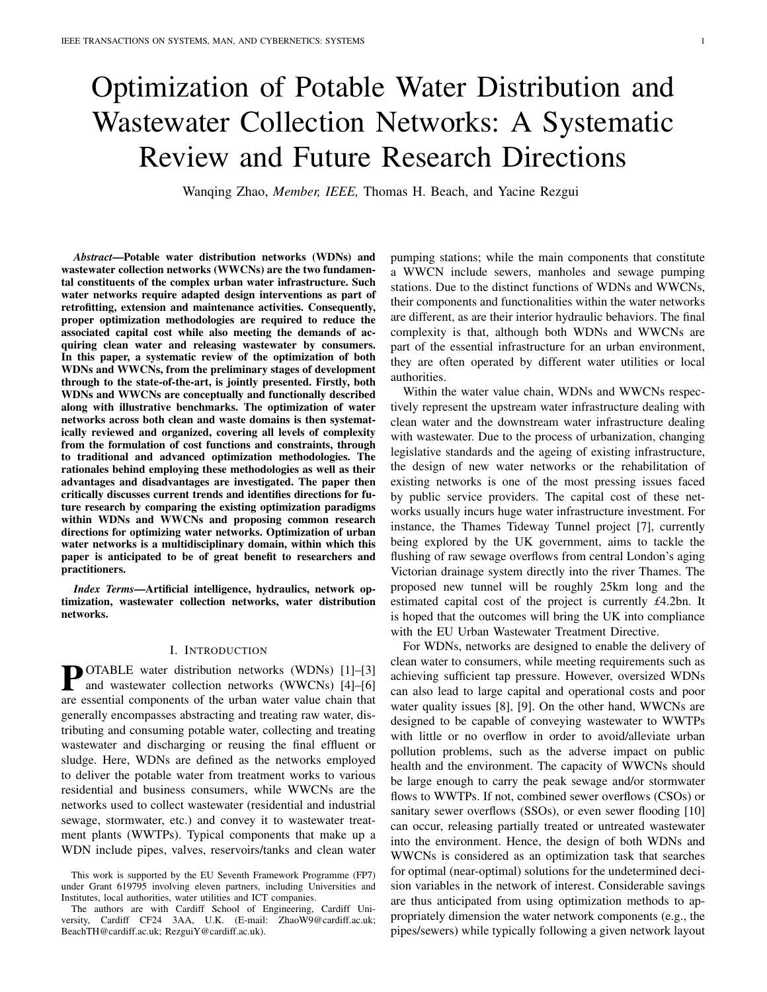# Optimization of Potable Water Distribution and Wastewater Collection Networks: A Systematic Review and Future Research Directions

Wanqing Zhao, *Member, IEEE,* Thomas H. Beach, and Yacine Rezgui

*Abstract*—Potable water distribution networks (WDNs) and wastewater collection networks (WWCNs) are the two fundamental constituents of the complex urban water infrastructure. Such water networks require adapted design interventions as part of retrofitting, extension and maintenance activities. Consequently, proper optimization methodologies are required to reduce the associated capital cost while also meeting the demands of acquiring clean water and releasing wastewater by consumers. In this paper, a systematic review of the optimization of both WDNs and WWCNs, from the preliminary stages of development through to the state-of-the-art, is jointly presented. Firstly, both WDNs and WWCNs are conceptually and functionally described along with illustrative benchmarks. The optimization of water networks across both clean and waste domains is then systematically reviewed and organized, covering all levels of complexity from the formulation of cost functions and constraints, through to traditional and advanced optimization methodologies. The rationales behind employing these methodologies as well as their advantages and disadvantages are investigated. The paper then critically discusses current trends and identifies directions for future research by comparing the existing optimization paradigms within WDNs and WWCNs and proposing common research directions for optimizing water networks. Optimization of urban water networks is a multidisciplinary domain, within which this paper is anticipated to be of great benefit to researchers and practitioners.

*Index Terms*—Artificial intelligence, hydraulics, network optimization, wastewater collection networks, water distribution networks.

#### I. INTRODUCTION

**P**OTABLE water distribution networks (WDNs) [1]–[3]<br>and wastewater collection networks (WWCNs) [4]–[6] and wastewater collection networks (WWCNs) [4]–[6] are essential components of the urban water value chain that generally encompasses abstracting and treating raw water, distributing and consuming potable water, collecting and treating wastewater and discharging or reusing the final effluent or sludge. Here, WDNs are defined as the networks employed to deliver the potable water from treatment works to various residential and business consumers, while WWCNs are the networks used to collect wastewater (residential and industrial sewage, stormwater, etc.) and convey it to wastewater treatment plants (WWTPs). Typical components that make up a WDN include pipes, valves, reservoirs/tanks and clean water pumping stations; while the main components that constitute a WWCN include sewers, manholes and sewage pumping stations. Due to the distinct functions of WDNs and WWCNs, their components and functionalities within the water networks are different, as are their interior hydraulic behaviors. The final complexity is that, although both WDNs and WWCNs are part of the essential infrastructure for an urban environment, they are often operated by different water utilities or local authorities.

Within the water value chain, WDNs and WWCNs respectively represent the upstream water infrastructure dealing with clean water and the downstream water infrastructure dealing with wastewater. Due to the process of urbanization, changing legislative standards and the ageing of existing infrastructure, the design of new water networks or the rehabilitation of existing networks is one of the most pressing issues faced by public service providers. The capital cost of these networks usually incurs huge water infrastructure investment. For instance, the Thames Tideway Tunnel project [7], currently being explored by the UK government, aims to tackle the flushing of raw sewage overflows from central London's aging Victorian drainage system directly into the river Thames. The proposed new tunnel will be roughly 25km long and the estimated capital cost of the project is currently *£*4.2bn. It is hoped that the outcomes will bring the UK into compliance with the EU Urban Wastewater Treatment Directive.

For WDNs, networks are designed to enable the delivery of clean water to consumers, while meeting requirements such as achieving sufficient tap pressure. However, oversized WDNs can also lead to large capital and operational costs and poor water quality issues [8], [9]. On the other hand, WWCNs are designed to be capable of conveying wastewater to WWTPs with little or no overflow in order to avoid/alleviate urban pollution problems, such as the adverse impact on public health and the environment. The capacity of WWCNs should be large enough to carry the peak sewage and/or stormwater flows to WWTPs. If not, combined sewer overflows (CSOs) or sanitary sewer overflows (SSOs), or even sewer flooding [10] can occur, releasing partially treated or untreated wastewater into the environment. Hence, the design of both WDNs and WWCNs is considered as an optimization task that searches for optimal (near-optimal) solutions for the undetermined decision variables in the network of interest. Considerable savings are thus anticipated from using optimization methods to appropriately dimension the water network components (e.g., the pipes/sewers) while typically following a given network layout

This work is supported by the EU Seventh Framework Programme (FP7) under Grant 619795 involving eleven partners, including Universities and Institutes, local authorities, water utilities and ICT companies.

The authors are with Cardiff School of Engineering, Cardiff University, Cardiff CF24 3AA, U.K. (E-mail: ZhaoW9@cardiff.ac.uk; BeachTH@cardiff.ac.uk; RezguiY@cardiff.ac.uk).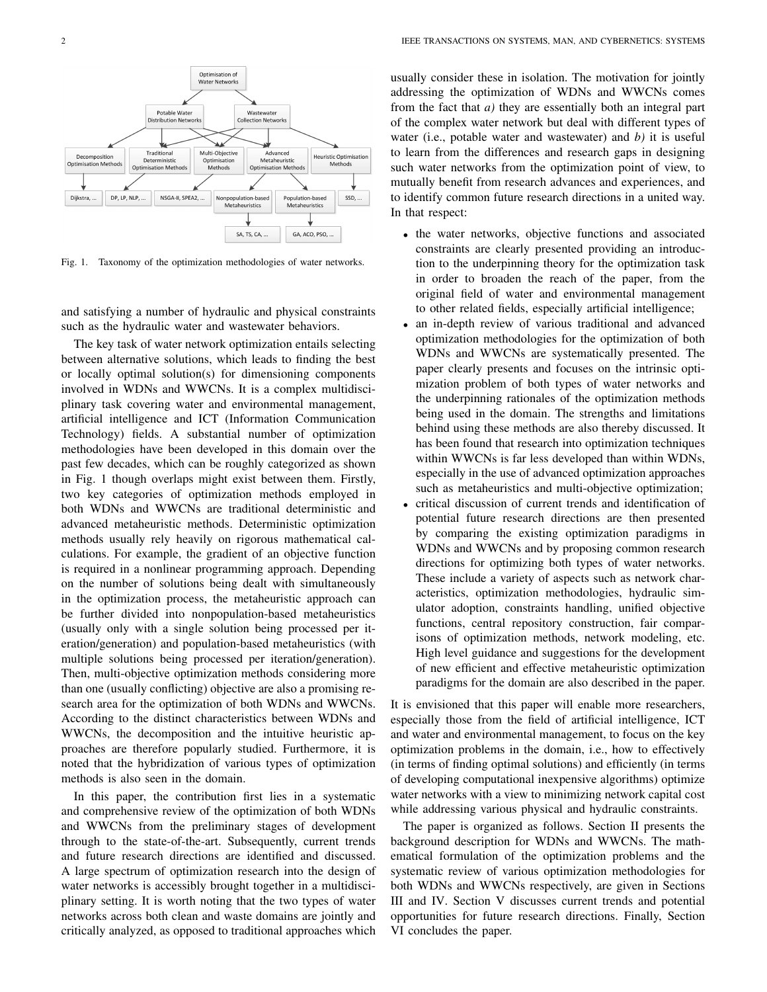

Fig. 1. Taxonomy of the optimization methodologies of water networks.

and satisfying a number of hydraulic and physical constraints such as the hydraulic water and wastewater behaviors.

The key task of water network optimization entails selecting between alternative solutions, which leads to finding the best or locally optimal solution(s) for dimensioning components involved in WDNs and WWCNs. It is a complex multidisciplinary task covering water and environmental management, artificial intelligence and ICT (Information Communication Technology) fields. A substantial number of optimization methodologies have been developed in this domain over the past few decades, which can be roughly categorized as shown in Fig. 1 though overlaps might exist between them. Firstly, two key categories of optimization methods employed in both WDNs and WWCNs are traditional deterministic and advanced metaheuristic methods. Deterministic optimization methods usually rely heavily on rigorous mathematical calculations. For example, the gradient of an objective function is required in a nonlinear programming approach. Depending on the number of solutions being dealt with simultaneously in the optimization process, the metaheuristic approach can be further divided into nonpopulation-based metaheuristics (usually only with a single solution being processed per iteration/generation) and population-based metaheuristics (with multiple solutions being processed per iteration/generation). Then, multi-objective optimization methods considering more than one (usually conflicting) objective are also a promising research area for the optimization of both WDNs and WWCNs. According to the distinct characteristics between WDNs and WWCNs, the decomposition and the intuitive heuristic approaches are therefore popularly studied. Furthermore, it is noted that the hybridization of various types of optimization methods is also seen in the domain.

In this paper, the contribution first lies in a systematic and comprehensive review of the optimization of both WDNs and WWCNs from the preliminary stages of development through to the state-of-the-art. Subsequently, current trends and future research directions are identified and discussed. A large spectrum of optimization research into the design of water networks is accessibly brought together in a multidisciplinary setting. It is worth noting that the two types of water networks across both clean and waste domains are jointly and critically analyzed, as opposed to traditional approaches which usually consider these in isolation. The motivation for jointly addressing the optimization of WDNs and WWCNs comes from the fact that *a)* they are essentially both an integral part of the complex water network but deal with different types of water (i.e., potable water and wastewater) and *b)* it is useful to learn from the differences and research gaps in designing such water networks from the optimization point of view, to mutually benefit from research advances and experiences, and to identify common future research directions in a united way. In that respect:

- *•* the water networks, objective functions and associated constraints are clearly presented providing an introduction to the underpinning theory for the optimization task in order to broaden the reach of the paper, from the original field of water and environmental management to other related fields, especially artificial intelligence;
- *•* an in-depth review of various traditional and advanced optimization methodologies for the optimization of both WDNs and WWCNs are systematically presented. The paper clearly presents and focuses on the intrinsic optimization problem of both types of water networks and the underpinning rationales of the optimization methods being used in the domain. The strengths and limitations behind using these methods are also thereby discussed. It has been found that research into optimization techniques within WWCNs is far less developed than within WDNs, especially in the use of advanced optimization approaches such as metaheuristics and multi-objective optimization;
- *•* critical discussion of current trends and identification of potential future research directions are then presented by comparing the existing optimization paradigms in WDNs and WWCNs and by proposing common research directions for optimizing both types of water networks. These include a variety of aspects such as network characteristics, optimization methodologies, hydraulic simulator adoption, constraints handling, unified objective functions, central repository construction, fair comparisons of optimization methods, network modeling, etc. High level guidance and suggestions for the development of new efficient and effective metaheuristic optimization paradigms for the domain are also described in the paper.

It is envisioned that this paper will enable more researchers, especially those from the field of artificial intelligence, ICT and water and environmental management, to focus on the key optimization problems in the domain, i.e., how to effectively (in terms of finding optimal solutions) and efficiently (in terms of developing computational inexpensive algorithms) optimize water networks with a view to minimizing network capital cost while addressing various physical and hydraulic constraints.

The paper is organized as follows. Section II presents the background description for WDNs and WWCNs. The mathematical formulation of the optimization problems and the systematic review of various optimization methodologies for both WDNs and WWCNs respectively, are given in Sections III and IV. Section V discusses current trends and potential opportunities for future research directions. Finally, Section VI concludes the paper.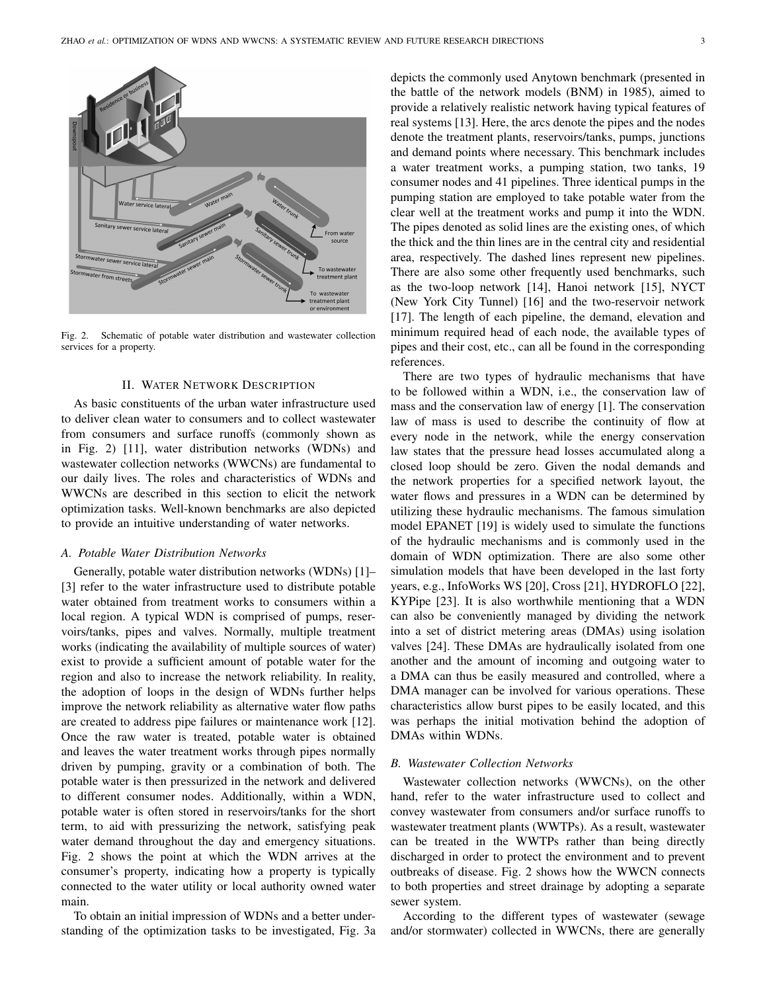

Fig. 2. Schematic of potable water distribution and wastewater collection services for a property.

# II. WATER NETWORK DESCRIPTION

As basic constituents of the urban water infrastructure used to deliver clean water to consumers and to collect wastewater from consumers and surface runoffs (commonly shown as in Fig. 2) [11], water distribution networks (WDNs) and wastewater collection networks (WWCNs) are fundamental to our daily lives. The roles and characteristics of WDNs and WWCNs are described in this section to elicit the network optimization tasks. Well-known benchmarks are also depicted to provide an intuitive understanding of water networks.

# *A. Potable Water Distribution Networks*

Generally, potable water distribution networks (WDNs) [1]– [3] refer to the water infrastructure used to distribute potable water obtained from treatment works to consumers within a local region. A typical WDN is comprised of pumps, reservoirs/tanks, pipes and valves. Normally, multiple treatment works (indicating the availability of multiple sources of water) exist to provide a sufficient amount of potable water for the region and also to increase the network reliability. In reality, the adoption of loops in the design of WDNs further helps improve the network reliability as alternative water flow paths are created to address pipe failures or maintenance work [12]. Once the raw water is treated, potable water is obtained and leaves the water treatment works through pipes normally driven by pumping, gravity or a combination of both. The potable water is then pressurized in the network and delivered to different consumer nodes. Additionally, within a WDN, potable water is often stored in reservoirs/tanks for the short term, to aid with pressurizing the network, satisfying peak water demand throughout the day and emergency situations. Fig. 2 shows the point at which the WDN arrives at the consumer's property, indicating how a property is typically connected to the water utility or local authority owned water main.

To obtain an initial impression of WDNs and a better understanding of the optimization tasks to be investigated, Fig. 3a depicts the commonly used Anytown benchmark (presented in the battle of the network models (BNM) in 1985), aimed to provide a relatively realistic network having typical features of real systems [13]. Here, the arcs denote the pipes and the nodes denote the treatment plants, reservoirs/tanks, pumps, junctions and demand points where necessary. This benchmark includes a water treatment works, a pumping station, two tanks, 19 consumer nodes and 41 pipelines. Three identical pumps in the pumping station are employed to take potable water from the clear well at the treatment works and pump it into the WDN. The pipes denoted as solid lines are the existing ones, of which the thick and the thin lines are in the central city and residential area, respectively. The dashed lines represent new pipelines. There are also some other frequently used benchmarks, such as the two-loop network [14], Hanoi network [15], NYCT (New York City Tunnel) [16] and the two-reservoir network [17]. The length of each pipeline, the demand, elevation and minimum required head of each node, the available types of pipes and their cost, etc., can all be found in the corresponding references.

There are two types of hydraulic mechanisms that have to be followed within a WDN, i.e., the conservation law of mass and the conservation law of energy [1]. The conservation law of mass is used to describe the continuity of flow at every node in the network, while the energy conservation law states that the pressure head losses accumulated along a closed loop should be zero. Given the nodal demands and the network properties for a specified network layout, the water flows and pressures in a WDN can be determined by utilizing these hydraulic mechanisms. The famous simulation model EPANET [19] is widely used to simulate the functions of the hydraulic mechanisms and is commonly used in the domain of WDN optimization. There are also some other simulation models that have been developed in the last forty years, e.g., InfoWorks WS [20], Cross [21], HYDROFLO [22], KYPipe [23]. It is also worthwhile mentioning that a WDN can also be conveniently managed by dividing the network into a set of district metering areas (DMAs) using isolation valves [24]. These DMAs are hydraulically isolated from one another and the amount of incoming and outgoing water to a DMA can thus be easily measured and controlled, where a DMA manager can be involved for various operations. These characteristics allow burst pipes to be easily located, and this was perhaps the initial motivation behind the adoption of DMAs within WDNs.

#### *B. Wastewater Collection Networks*

Wastewater collection networks (WWCNs), on the other hand, refer to the water infrastructure used to collect and convey wastewater from consumers and/or surface runoffs to wastewater treatment plants (WWTPs). As a result, wastewater can be treated in the WWTPs rather than being directly discharged in order to protect the environment and to prevent outbreaks of disease. Fig. 2 shows how the WWCN connects to both properties and street drainage by adopting a separate sewer system.

According to the different types of wastewater (sewage and/or stormwater) collected in WWCNs, there are generally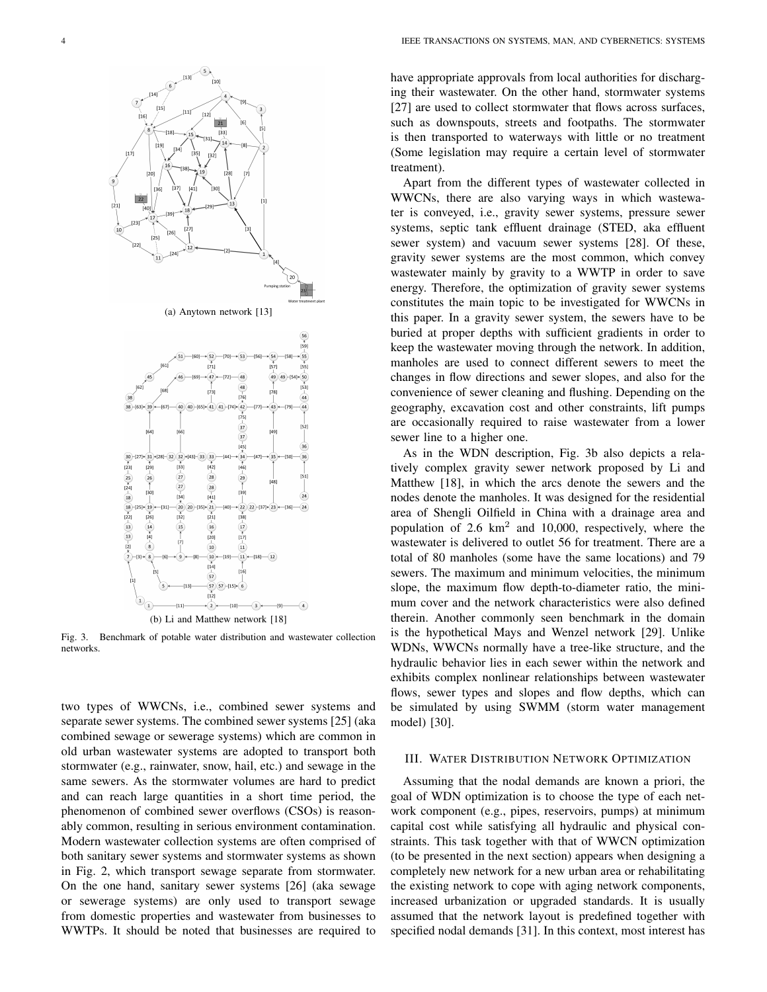

Fig. 3. Benchmark of potable water distribution and wastewater collection networks.

two types of WWCNs, i.e., combined sewer systems and separate sewer systems. The combined sewer systems [25] (aka combined sewage or sewerage systems) which are common in old urban wastewater systems are adopted to transport both stormwater (e.g., rainwater, snow, hail, etc.) and sewage in the same sewers. As the stormwater volumes are hard to predict and can reach large quantities in a short time period, the phenomenon of combined sewer overflows (CSOs) is reasonably common, resulting in serious environment contamination. Modern wastewater collection systems are often comprised of both sanitary sewer systems and stormwater systems as shown in Fig. 2, which transport sewage separate from stormwater. On the one hand, sanitary sewer systems [26] (aka sewage or sewerage systems) are only used to transport sewage from domestic properties and wastewater from businesses to WWTPs. It should be noted that businesses are required to

have appropriate approvals from local authorities for discharging their wastewater. On the other hand, stormwater systems [27] are used to collect stormwater that flows across surfaces, such as downspouts, streets and footpaths. The stormwater is then transported to waterways with little or no treatment (Some legislation may require a certain level of stormwater treatment).

Apart from the different types of wastewater collected in WWCNs, there are also varying ways in which wastewater is conveyed, i.e., gravity sewer systems, pressure sewer systems, septic tank effluent drainage (STED, aka effluent sewer system) and vacuum sewer systems [28]. Of these, gravity sewer systems are the most common, which convey wastewater mainly by gravity to a WWTP in order to save energy. Therefore, the optimization of gravity sewer systems constitutes the main topic to be investigated for WWCNs in this paper. In a gravity sewer system, the sewers have to be buried at proper depths with sufficient gradients in order to keep the wastewater moving through the network. In addition, manholes are used to connect different sewers to meet the changes in flow directions and sewer slopes, and also for the convenience of sewer cleaning and flushing. Depending on the geography, excavation cost and other constraints, lift pumps are occasionally required to raise wastewater from a lower sewer line to a higher one.

As in the WDN description, Fig. 3b also depicts a relatively complex gravity sewer network proposed by Li and Matthew [18], in which the arcs denote the sewers and the nodes denote the manholes. It was designed for the residential area of Shengli Oilfield in China with a drainage area and population of  $2.6 \text{ km}^2$  and 10,000, respectively, where the wastewater is delivered to outlet 56 for treatment. There are a total of 80 manholes (some have the same locations) and 79 sewers. The maximum and minimum velocities, the minimum slope, the maximum flow depth-to-diameter ratio, the minimum cover and the network characteristics were also defined therein. Another commonly seen benchmark in the domain is the hypothetical Mays and Wenzel network [29]. Unlike WDNs, WWCNs normally have a tree-like structure, and the hydraulic behavior lies in each sewer within the network and exhibits complex nonlinear relationships between wastewater flows, sewer types and slopes and flow depths, which can be simulated by using SWMM (storm water management model) [30].

## III. WATER DISTRIBUTION NETWORK OPTIMIZATION

Assuming that the nodal demands are known a priori, the goal of WDN optimization is to choose the type of each network component (e.g., pipes, reservoirs, pumps) at minimum capital cost while satisfying all hydraulic and physical constraints. This task together with that of WWCN optimization (to be presented in the next section) appears when designing a completely new network for a new urban area or rehabilitating the existing network to cope with aging network components, increased urbanization or upgraded standards. It is usually assumed that the network layout is predefined together with specified nodal demands [31]. In this context, most interest has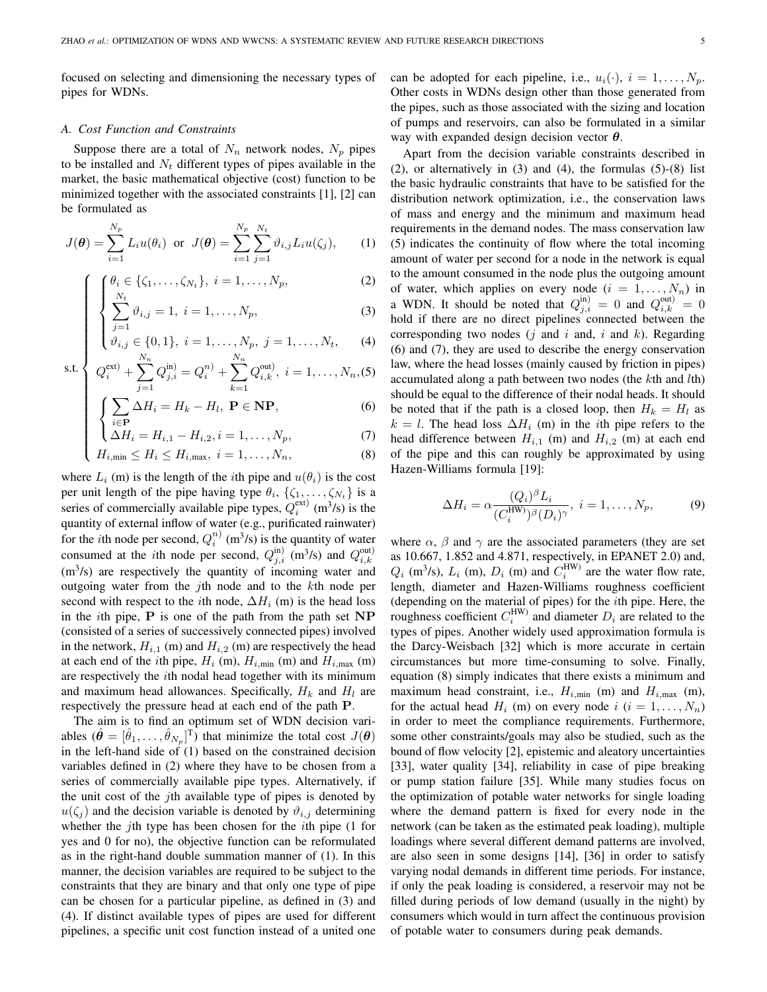focused on selecting and dimensioning the necessary types of pipes for WDNs.

## *A. Cost Function and Constraints*

 $\sqrt{ }$  $\overline{1}$  $\overline{1}$  $\overline{1}$  $\overline{1}$ 

 $\overline{1}$ 

Suppose there are a total of  $N_n$  network nodes,  $N_p$  pipes to be installed and  $N_t$  different types of pipes available in the market, the basic mathematical objective (cost) function to be minimized together with the associated constraints [1], [2] can be formulated as

$$
J(\theta) = \sum_{i=1}^{N_p} L_i u(\theta_i) \text{ or } J(\theta) = \sum_{i=1}^{N_p} \sum_{j=1}^{N_t} \vartheta_{i,j} L_i u(\zeta_j), \qquad (1)
$$

$$
\begin{cases} \theta_i \in \{\zeta_1, \dots, \zeta_{N_t}\}, \ i = 1, \dots, N_p, \\ \sum_{i=1}^N a_{i-1} = 1, \ i = 1, \dots, N \end{cases} \tag{2}
$$

$$
\left\{\sum_{j=1}^{N_t} \vartheta_{i,j} = 1, \ i = 1, \dots, N_p, \right\} \tag{3}
$$

$$
\begin{cases}\n\frac{j=1}{j=1} & \text{if } j \in \{0,1\}, \ i=1,\ldots,N_p, \ j=1,\ldots,N_t,\n\end{cases}
$$
\n(4)

s.t. 
$$
Q_i^{\text{ext}} + \sum_{j=1}^{N_n} Q_{j,i}^{\text{in}} = Q_i^{n} + \sum_{k=1}^{N_n} Q_{i,k}^{\text{out}}, i = 1, ..., N_n, (5)
$$

$$
\left(\sum \Delta H_i = H_k - H_l, \mathbf{P} \in \mathbf{NP},\right)
$$
(6)

$$
\begin{cases}\n\sum_{i \in \mathbf{P}} \Delta H_i = H_k - H_l, \ \mathbf{P} \in \mathbf{NP}, \\
\Delta H_i = H_{i,1} - H_{i,2}, i = 1, \dots, N_p,\n\end{cases}
$$
\n(6)

$$
\Delta H_i = H_{i,1} - H_{i,2}, i = 1, \dots, N_p,
$$
 (7)

$$
\left( H_{i,\min} \leq H_i \leq H_{i,\max}, i = 1, ..., N_n, \right) \tag{8}
$$

where  $L_i$  (m) is the length of the *i*th pipe and  $u(\theta_i)$  is the cost per unit length of the pipe having type  $\theta_i$ ,  $\{\zeta_1, \dots, \zeta_{N_t}\}\$ is a series of commercially available pipe types,  $Q_i^{\text{ext}}$  (m<sup>3</sup>/s) is the quantity of external inflow of water (e.g., purificated rainwater) for the *i*th node per second,  $Q_i^n$  (m<sup>3</sup>/s) is the quantity of water consumed at the *i*th node per second,  $Q_{j,i}^{(in)}$  (m<sup>3</sup>/s) and  $Q_{i,k}^{(out)}$ *i,k*  $(m<sup>3</sup>/s)$  are respectively the quantity of incoming water and outgoing water from the *j*th node and to the *k*th node per second with respect to the *i*th node,  $\Delta H_i$  (m) is the head loss in the *i*th pipe, **P** is one of the path from the path set **NP** (consisted of a series of successively connected pipes) involved in the network,  $H_{i,1}$  (m) and  $H_{i,2}$  (m) are respectively the head at each end of the *i*th pipe,  $H_i$  (m),  $H_{i,\text{min}}$  (m) and  $H_{i,\text{max}}$  (m) are respectively the *i*th nodal head together with its minimum and maximum head allowances. Specifically,  $H_k$  and  $H_l$  are respectively the pressure head at each end of the path **P**.

The aim is to find an optimum set of WDN decision variables  $(\hat{\theta} = [\hat{\theta}_1, \dots, \hat{\theta}_{N_p}]^T)$  that minimize the total cost  $J(\theta)$ in the left-hand side of (1) based on the constrained decision variables defined in (2) where they have to be chosen from a series of commercially available pipe types. Alternatively, if the unit cost of the *j*th available type of pipes is denoted by  $u(\zeta_i)$  and the decision variable is denoted by  $\vartheta_{i,j}$  determining whether the *j*th type has been chosen for the *i*th pipe (1 for yes and 0 for no), the objective function can be reformulated as in the right-hand double summation manner of (1). In this manner, the decision variables are required to be subject to the constraints that they are binary and that only one type of pipe can be chosen for a particular pipeline, as defined in (3) and (4). If distinct available types of pipes are used for different pipelines, a specific unit cost function instead of a united one can be adopted for each pipeline, i.e.,  $u_i(\cdot)$ ,  $i = 1, \ldots, N_p$ . Other costs in WDNs design other than those generated from the pipes, such as those associated with the sizing and location of pumps and reservoirs, can also be formulated in a similar way with expanded design decision vector *θ*.

Apart from the decision variable constraints described in  $(2)$ , or alternatively in  $(3)$  and  $(4)$ , the formulas  $(5)-(8)$  list the basic hydraulic constraints that have to be satisfied for the distribution network optimization, i.e., the conservation laws of mass and energy and the minimum and maximum head requirements in the demand nodes. The mass conservation law (5) indicates the continuity of flow where the total incoming amount of water per second for a node in the network is equal to the amount consumed in the node plus the outgoing amount of water, which applies on every node  $(i = 1, \ldots, N_n)$  in a WDN. It should be noted that  $Q_{j,i}^{(in)} = 0$  and  $Q_{i,k}^{(out)} = 0$ hold if there are no direct pipelines connected between the corresponding two nodes (*j* and *i* and, *i* and *k*). Regarding (6) and (7), they are used to describe the energy conservation law, where the head losses (mainly caused by friction in pipes) accumulated along a path between two nodes (the *k*th and *l*th) should be equal to the difference of their nodal heads. It should be noted that if the path is a closed loop, then  $H_k = H_l$  as  $k = l$ . The head loss  $\Delta H_i$  (m) in the *i*th pipe refers to the head difference between  $H_{i,1}$  (m) and  $H_{i,2}$  (m) at each end of the pipe and this can roughly be approximated by using Hazen-Williams formula [19]:

$$
\Delta H_i = \alpha \frac{(Q_i)^{\beta} L_i}{(C_i^{\text{HW}})^{\beta} (D_i)^{\gamma}}, \ i = 1, \dots, N_p,
$$
 (9)

where  $\alpha$ ,  $\beta$  and  $\gamma$  are the associated parameters (they are set as 10.667, 1.852 and 4.871, respectively, in EPANET 2.0) and,  $Q_i$  (m<sup>3</sup>/s),  $L_i$  (m),  $D_i$  (m) and  $C_i^{\text{HW}}$  are the water flow rate, length, diameter and Hazen-Williams roughness coefficient (depending on the material of pipes) for the *i*th pipe. Here, the roughness coefficient  $C_i^{\text{HW}}$  and diameter  $D_i$  are related to the types of pipes. Another widely used approximation formula is the Darcy-Weisbach [32] which is more accurate in certain circumstances but more time-consuming to solve. Finally, equation (8) simply indicates that there exists a minimum and maximum head constraint, i.e.,  $H_{i,\text{min}}$  (m) and  $H_{i,\text{max}}$  (m), for the actual head  $H_i$  (m) on every node  $i$  ( $i = 1, \ldots, N_n$ ) in order to meet the compliance requirements. Furthermore, some other constraints/goals may also be studied, such as the bound of flow velocity [2], epistemic and aleatory uncertainties [33], water quality [34], reliability in case of pipe breaking or pump station failure [35]. While many studies focus on the optimization of potable water networks for single loading where the demand pattern is fixed for every node in the network (can be taken as the estimated peak loading), multiple loadings where several different demand patterns are involved, are also seen in some designs [14], [36] in order to satisfy varying nodal demands in different time periods. For instance, if only the peak loading is considered, a reservoir may not be filled during periods of low demand (usually in the night) by consumers which would in turn affect the continuous provision of potable water to consumers during peak demands.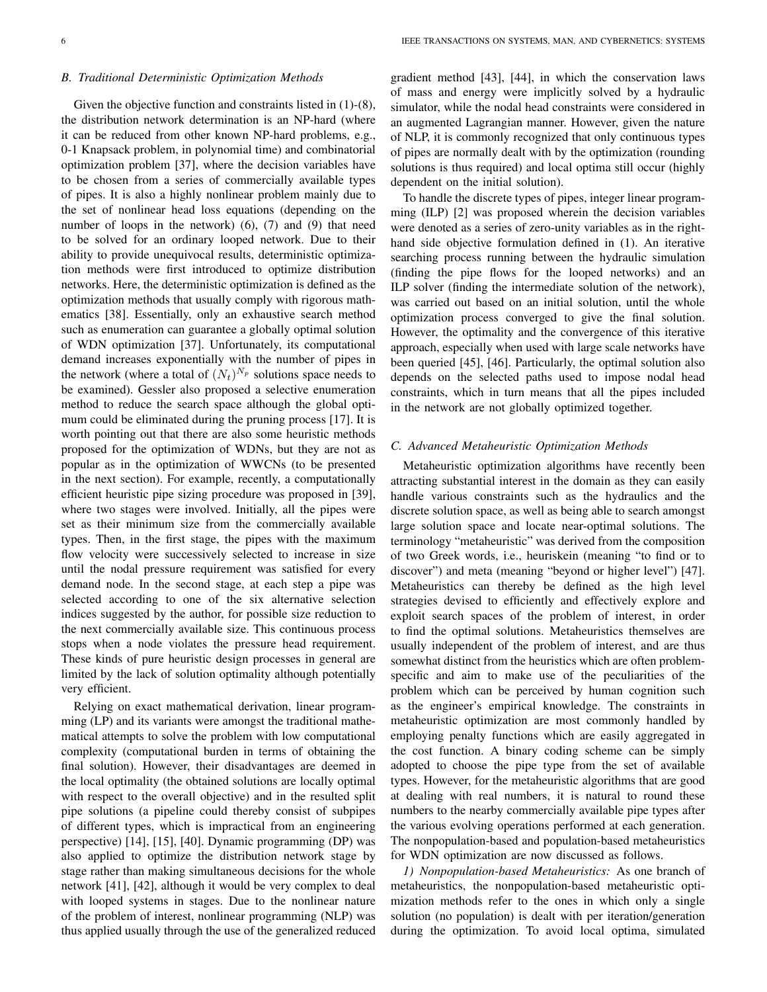#### *B. Traditional Deterministic Optimization Methods*

Given the objective function and constraints listed in  $(1)-(8)$ , the distribution network determination is an NP-hard (where it can be reduced from other known NP-hard problems, e.g., 0-1 Knapsack problem, in polynomial time) and combinatorial optimization problem [37], where the decision variables have to be chosen from a series of commercially available types of pipes. It is also a highly nonlinear problem mainly due to the set of nonlinear head loss equations (depending on the number of loops in the network) (6), (7) and (9) that need to be solved for an ordinary looped network. Due to their ability to provide unequivocal results, deterministic optimization methods were first introduced to optimize distribution networks. Here, the deterministic optimization is defined as the optimization methods that usually comply with rigorous mathematics [38]. Essentially, only an exhaustive search method such as enumeration can guarantee a globally optimal solution of WDN optimization [37]. Unfortunately, its computational demand increases exponentially with the number of pipes in the network (where a total of  $(N_t)^{N_p}$  solutions space needs to be examined). Gessler also proposed a selective enumeration method to reduce the search space although the global optimum could be eliminated during the pruning process [17]. It is worth pointing out that there are also some heuristic methods proposed for the optimization of WDNs, but they are not as popular as in the optimization of WWCNs (to be presented in the next section). For example, recently, a computationally efficient heuristic pipe sizing procedure was proposed in [39], where two stages were involved. Initially, all the pipes were set as their minimum size from the commercially available types. Then, in the first stage, the pipes with the maximum flow velocity were successively selected to increase in size until the nodal pressure requirement was satisfied for every demand node. In the second stage, at each step a pipe was selected according to one of the six alternative selection indices suggested by the author, for possible size reduction to the next commercially available size. This continuous process stops when a node violates the pressure head requirement. These kinds of pure heuristic design processes in general are limited by the lack of solution optimality although potentially very efficient.

Relying on exact mathematical derivation, linear programming (LP) and its variants were amongst the traditional mathematical attempts to solve the problem with low computational complexity (computational burden in terms of obtaining the final solution). However, their disadvantages are deemed in the local optimality (the obtained solutions are locally optimal with respect to the overall objective) and in the resulted split pipe solutions (a pipeline could thereby consist of subpipes of different types, which is impractical from an engineering perspective) [14], [15], [40]. Dynamic programming (DP) was also applied to optimize the distribution network stage by stage rather than making simultaneous decisions for the whole network [41], [42], although it would be very complex to deal with looped systems in stages. Due to the nonlinear nature of the problem of interest, nonlinear programming (NLP) was thus applied usually through the use of the generalized reduced

gradient method [43], [44], in which the conservation laws of mass and energy were implicitly solved by a hydraulic simulator, while the nodal head constraints were considered in an augmented Lagrangian manner. However, given the nature of NLP, it is commonly recognized that only continuous types of pipes are normally dealt with by the optimization (rounding solutions is thus required) and local optima still occur (highly dependent on the initial solution).

To handle the discrete types of pipes, integer linear programming (ILP) [2] was proposed wherein the decision variables were denoted as a series of zero-unity variables as in the righthand side objective formulation defined in (1). An iterative searching process running between the hydraulic simulation (finding the pipe flows for the looped networks) and an ILP solver (finding the intermediate solution of the network), was carried out based on an initial solution, until the whole optimization process converged to give the final solution. However, the optimality and the convergence of this iterative approach, especially when used with large scale networks have been queried [45], [46]. Particularly, the optimal solution also depends on the selected paths used to impose nodal head constraints, which in turn means that all the pipes included in the network are not globally optimized together.

# *C. Advanced Metaheuristic Optimization Methods*

Metaheuristic optimization algorithms have recently been attracting substantial interest in the domain as they can easily handle various constraints such as the hydraulics and the discrete solution space, as well as being able to search amongst large solution space and locate near-optimal solutions. The terminology "metaheuristic" was derived from the composition of two Greek words, i.e., heuriskein (meaning "to find or to discover") and meta (meaning "beyond or higher level") [47]. Metaheuristics can thereby be defined as the high level strategies devised to efficiently and effectively explore and exploit search spaces of the problem of interest, in order to find the optimal solutions. Metaheuristics themselves are usually independent of the problem of interest, and are thus somewhat distinct from the heuristics which are often problemspecific and aim to make use of the peculiarities of the problem which can be perceived by human cognition such as the engineer's empirical knowledge. The constraints in metaheuristic optimization are most commonly handled by employing penalty functions which are easily aggregated in the cost function. A binary coding scheme can be simply adopted to choose the pipe type from the set of available types. However, for the metaheuristic algorithms that are good at dealing with real numbers, it is natural to round these numbers to the nearby commercially available pipe types after the various evolving operations performed at each generation. The nonpopulation-based and population-based metaheuristics for WDN optimization are now discussed as follows.

*1) Nonpopulation-based Metaheuristics:* As one branch of metaheuristics, the nonpopulation-based metaheuristic optimization methods refer to the ones in which only a single solution (no population) is dealt with per iteration/generation during the optimization. To avoid local optima, simulated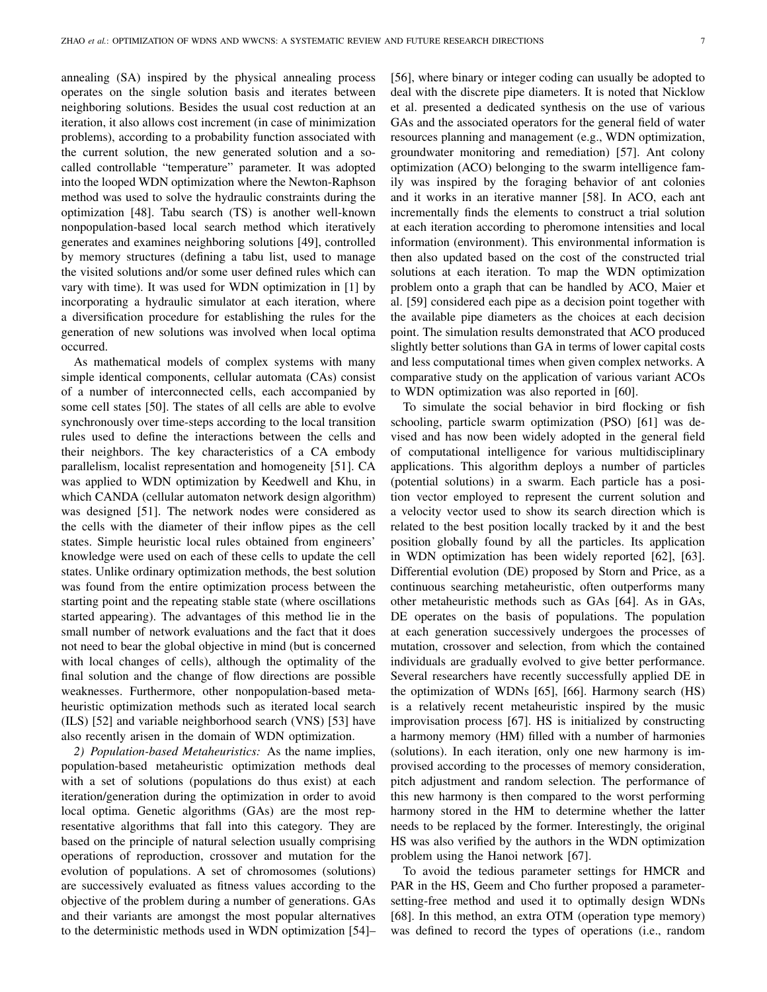annealing (SA) inspired by the physical annealing process operates on the single solution basis and iterates between neighboring solutions. Besides the usual cost reduction at an iteration, it also allows cost increment (in case of minimization problems), according to a probability function associated with the current solution, the new generated solution and a socalled controllable "temperature" parameter. It was adopted into the looped WDN optimization where the Newton-Raphson method was used to solve the hydraulic constraints during the optimization [48]. Tabu search (TS) is another well-known nonpopulation-based local search method which iteratively generates and examines neighboring solutions [49], controlled by memory structures (defining a tabu list, used to manage the visited solutions and/or some user defined rules which can vary with time). It was used for WDN optimization in [1] by incorporating a hydraulic simulator at each iteration, where a diversification procedure for establishing the rules for the generation of new solutions was involved when local optima occurred.

As mathematical models of complex systems with many simple identical components, cellular automata (CAs) consist of a number of interconnected cells, each accompanied by some cell states [50]. The states of all cells are able to evolve synchronously over time-steps according to the local transition rules used to define the interactions between the cells and their neighbors. The key characteristics of a CA embody parallelism, localist representation and homogeneity [51]. CA was applied to WDN optimization by Keedwell and Khu, in which CANDA (cellular automaton network design algorithm) was designed [51]. The network nodes were considered as the cells with the diameter of their inflow pipes as the cell states. Simple heuristic local rules obtained from engineers' knowledge were used on each of these cells to update the cell states. Unlike ordinary optimization methods, the best solution was found from the entire optimization process between the starting point and the repeating stable state (where oscillations started appearing). The advantages of this method lie in the small number of network evaluations and the fact that it does not need to bear the global objective in mind (but is concerned with local changes of cells), although the optimality of the final solution and the change of flow directions are possible weaknesses. Furthermore, other nonpopulation-based metaheuristic optimization methods such as iterated local search (ILS) [52] and variable neighborhood search (VNS) [53] have also recently arisen in the domain of WDN optimization.

*2) Population-based Metaheuristics:* As the name implies, population-based metaheuristic optimization methods deal with a set of solutions (populations do thus exist) at each iteration/generation during the optimization in order to avoid local optima. Genetic algorithms (GAs) are the most representative algorithms that fall into this category. They are based on the principle of natural selection usually comprising operations of reproduction, crossover and mutation for the evolution of populations. A set of chromosomes (solutions) are successively evaluated as fitness values according to the objective of the problem during a number of generations. GAs and their variants are amongst the most popular alternatives to the deterministic methods used in WDN optimization [54]–

[56], where binary or integer coding can usually be adopted to deal with the discrete pipe diameters. It is noted that Nicklow et al. presented a dedicated synthesis on the use of various GAs and the associated operators for the general field of water resources planning and management (e.g., WDN optimization, groundwater monitoring and remediation) [57]. Ant colony optimization (ACO) belonging to the swarm intelligence family was inspired by the foraging behavior of ant colonies and it works in an iterative manner [58]. In ACO, each ant incrementally finds the elements to construct a trial solution at each iteration according to pheromone intensities and local information (environment). This environmental information is then also updated based on the cost of the constructed trial solutions at each iteration. To map the WDN optimization problem onto a graph that can be handled by ACO, Maier et al. [59] considered each pipe as a decision point together with the available pipe diameters as the choices at each decision point. The simulation results demonstrated that ACO produced slightly better solutions than GA in terms of lower capital costs and less computational times when given complex networks. A comparative study on the application of various variant ACOs to WDN optimization was also reported in [60].

To simulate the social behavior in bird flocking or fish schooling, particle swarm optimization (PSO) [61] was devised and has now been widely adopted in the general field of computational intelligence for various multidisciplinary applications. This algorithm deploys a number of particles (potential solutions) in a swarm. Each particle has a position vector employed to represent the current solution and a velocity vector used to show its search direction which is related to the best position locally tracked by it and the best position globally found by all the particles. Its application in WDN optimization has been widely reported [62], [63]. Differential evolution (DE) proposed by Storn and Price, as a continuous searching metaheuristic, often outperforms many other metaheuristic methods such as GAs [64]. As in GAs, DE operates on the basis of populations. The population at each generation successively undergoes the processes of mutation, crossover and selection, from which the contained individuals are gradually evolved to give better performance. Several researchers have recently successfully applied DE in the optimization of WDNs [65], [66]. Harmony search (HS) is a relatively recent metaheuristic inspired by the music improvisation process [67]. HS is initialized by constructing a harmony memory (HM) filled with a number of harmonies (solutions). In each iteration, only one new harmony is improvised according to the processes of memory consideration, pitch adjustment and random selection. The performance of this new harmony is then compared to the worst performing harmony stored in the HM to determine whether the latter needs to be replaced by the former. Interestingly, the original HS was also verified by the authors in the WDN optimization problem using the Hanoi network [67].

To avoid the tedious parameter settings for HMCR and PAR in the HS, Geem and Cho further proposed a parametersetting-free method and used it to optimally design WDNs [68]. In this method, an extra OTM (operation type memory) was defined to record the types of operations (i.e., random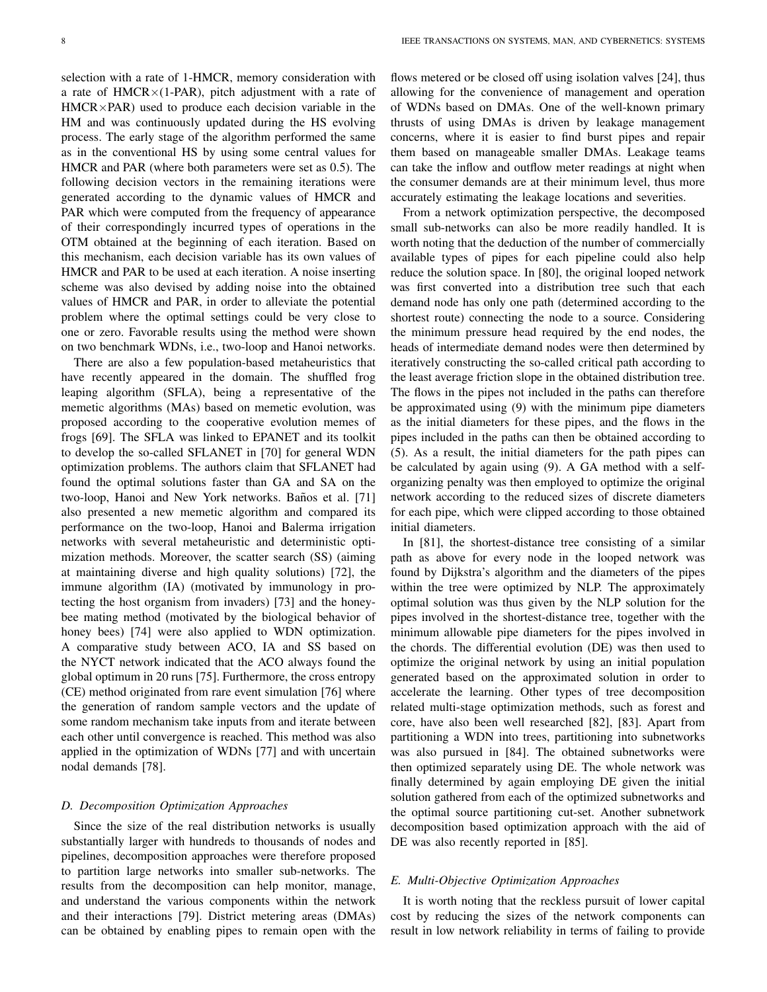selection with a rate of 1-HMCR, memory consideration with a rate of HMCR*×*(1-PAR), pitch adjustment with a rate of HMCR*×*PAR) used to produce each decision variable in the HM and was continuously updated during the HS evolving process. The early stage of the algorithm performed the same as in the conventional HS by using some central values for HMCR and PAR (where both parameters were set as 0.5). The following decision vectors in the remaining iterations were generated according to the dynamic values of HMCR and PAR which were computed from the frequency of appearance of their correspondingly incurred types of operations in the OTM obtained at the beginning of each iteration. Based on this mechanism, each decision variable has its own values of HMCR and PAR to be used at each iteration. A noise inserting scheme was also devised by adding noise into the obtained values of HMCR and PAR, in order to alleviate the potential problem where the optimal settings could be very close to one or zero. Favorable results using the method were shown on two benchmark WDNs, i.e., two-loop and Hanoi networks.

There are also a few population-based metaheuristics that have recently appeared in the domain. The shuffled frog leaping algorithm (SFLA), being a representative of the memetic algorithms (MAs) based on memetic evolution, was proposed according to the cooperative evolution memes of frogs [69]. The SFLA was linked to EPANET and its toolkit to develop the so-called SFLANET in [70] for general WDN optimization problems. The authors claim that SFLANET had found the optimal solutions faster than GA and SA on the two-loop, Hanoi and New York networks. Baños et al. [71] also presented a new memetic algorithm and compared its performance on the two-loop, Hanoi and Balerma irrigation networks with several metaheuristic and deterministic optimization methods. Moreover, the scatter search (SS) (aiming at maintaining diverse and high quality solutions) [72], the immune algorithm (IA) (motivated by immunology in protecting the host organism from invaders) [73] and the honeybee mating method (motivated by the biological behavior of honey bees) [74] were also applied to WDN optimization. A comparative study between ACO, IA and SS based on the NYCT network indicated that the ACO always found the global optimum in 20 runs [75]. Furthermore, the cross entropy (CE) method originated from rare event simulation [76] where the generation of random sample vectors and the update of some random mechanism take inputs from and iterate between each other until convergence is reached. This method was also applied in the optimization of WDNs [77] and with uncertain nodal demands [78].

## *D. Decomposition Optimization Approaches*

Since the size of the real distribution networks is usually substantially larger with hundreds to thousands of nodes and pipelines, decomposition approaches were therefore proposed to partition large networks into smaller sub-networks. The results from the decomposition can help monitor, manage, and understand the various components within the network and their interactions [79]. District metering areas (DMAs) can be obtained by enabling pipes to remain open with the flows metered or be closed off using isolation valves [24], thus allowing for the convenience of management and operation of WDNs based on DMAs. One of the well-known primary thrusts of using DMAs is driven by leakage management concerns, where it is easier to find burst pipes and repair them based on manageable smaller DMAs. Leakage teams can take the inflow and outflow meter readings at night when the consumer demands are at their minimum level, thus more accurately estimating the leakage locations and severities.

From a network optimization perspective, the decomposed small sub-networks can also be more readily handled. It is worth noting that the deduction of the number of commercially available types of pipes for each pipeline could also help reduce the solution space. In [80], the original looped network was first converted into a distribution tree such that each demand node has only one path (determined according to the shortest route) connecting the node to a source. Considering the minimum pressure head required by the end nodes, the heads of intermediate demand nodes were then determined by iteratively constructing the so-called critical path according to the least average friction slope in the obtained distribution tree. The flows in the pipes not included in the paths can therefore be approximated using (9) with the minimum pipe diameters as the initial diameters for these pipes, and the flows in the pipes included in the paths can then be obtained according to (5). As a result, the initial diameters for the path pipes can be calculated by again using (9). A GA method with a selforganizing penalty was then employed to optimize the original network according to the reduced sizes of discrete diameters for each pipe, which were clipped according to those obtained initial diameters.

In [81], the shortest-distance tree consisting of a similar path as above for every node in the looped network was found by Dijkstra's algorithm and the diameters of the pipes within the tree were optimized by NLP. The approximately optimal solution was thus given by the NLP solution for the pipes involved in the shortest-distance tree, together with the minimum allowable pipe diameters for the pipes involved in the chords. The differential evolution (DE) was then used to optimize the original network by using an initial population generated based on the approximated solution in order to accelerate the learning. Other types of tree decomposition related multi-stage optimization methods, such as forest and core, have also been well researched [82], [83]. Apart from partitioning a WDN into trees, partitioning into subnetworks was also pursued in [84]. The obtained subnetworks were then optimized separately using DE. The whole network was finally determined by again employing DE given the initial solution gathered from each of the optimized subnetworks and the optimal source partitioning cut-set. Another subnetwork decomposition based optimization approach with the aid of DE was also recently reported in [85].

## *E. Multi-Objective Optimization Approaches*

It is worth noting that the reckless pursuit of lower capital cost by reducing the sizes of the network components can result in low network reliability in terms of failing to provide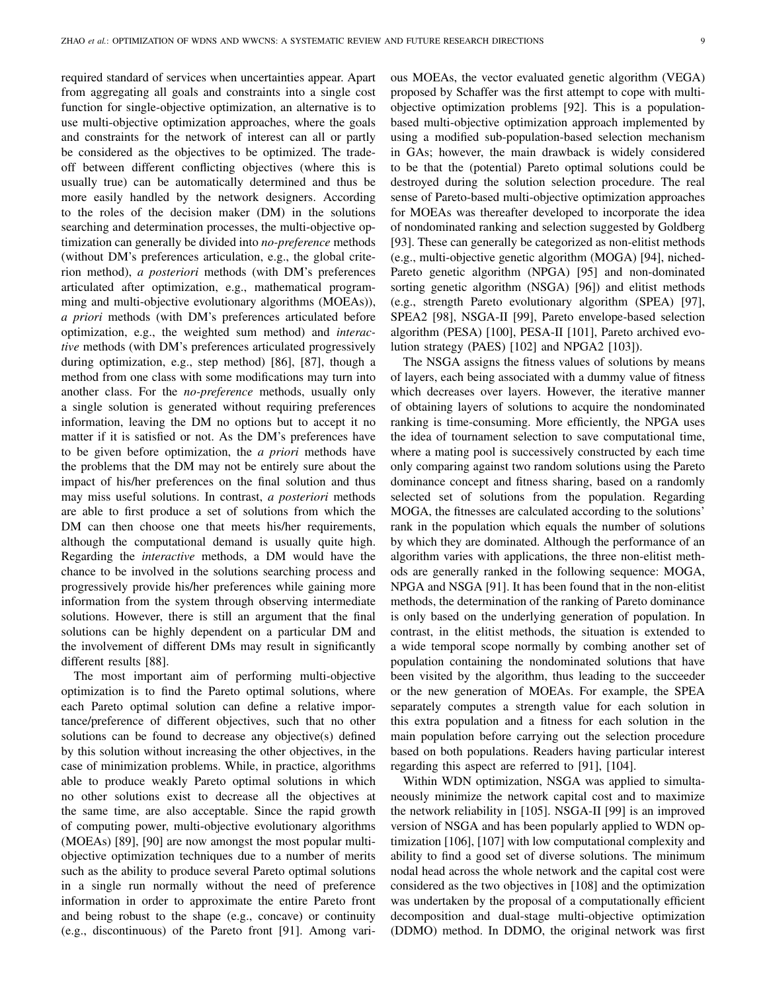required standard of services when uncertainties appear. Apart from aggregating all goals and constraints into a single cost function for single-objective optimization, an alternative is to use multi-objective optimization approaches, where the goals and constraints for the network of interest can all or partly be considered as the objectives to be optimized. The tradeoff between different conflicting objectives (where this is usually true) can be automatically determined and thus be more easily handled by the network designers. According to the roles of the decision maker (DM) in the solutions searching and determination processes, the multi-objective optimization can generally be divided into *no-preference* methods (without DM's preferences articulation, e.g., the global criterion method), *a posteriori* methods (with DM's preferences articulated after optimization, e.g., mathematical programming and multi-objective evolutionary algorithms (MOEAs)), *a priori* methods (with DM's preferences articulated before optimization, e.g., the weighted sum method) and *interactive* methods (with DM's preferences articulated progressively during optimization, e.g., step method) [86], [87], though a method from one class with some modifications may turn into another class. For the *no-preference* methods, usually only a single solution is generated without requiring preferences information, leaving the DM no options but to accept it no matter if it is satisfied or not. As the DM's preferences have to be given before optimization, the *a priori* methods have the problems that the DM may not be entirely sure about the impact of his/her preferences on the final solution and thus may miss useful solutions. In contrast, *a posteriori* methods are able to first produce a set of solutions from which the DM can then choose one that meets his/her requirements, although the computational demand is usually quite high. Regarding the *interactive* methods, a DM would have the chance to be involved in the solutions searching process and progressively provide his/her preferences while gaining more information from the system through observing intermediate solutions. However, there is still an argument that the final solutions can be highly dependent on a particular DM and the involvement of different DMs may result in significantly different results [88].

The most important aim of performing multi-objective optimization is to find the Pareto optimal solutions, where each Pareto optimal solution can define a relative importance/preference of different objectives, such that no other solutions can be found to decrease any objective(s) defined by this solution without increasing the other objectives, in the case of minimization problems. While, in practice, algorithms able to produce weakly Pareto optimal solutions in which no other solutions exist to decrease all the objectives at the same time, are also acceptable. Since the rapid growth of computing power, multi-objective evolutionary algorithms (MOEAs) [89], [90] are now amongst the most popular multiobjective optimization techniques due to a number of merits such as the ability to produce several Pareto optimal solutions in a single run normally without the need of preference information in order to approximate the entire Pareto front and being robust to the shape (e.g., concave) or continuity (e.g., discontinuous) of the Pareto front [91]. Among various MOEAs, the vector evaluated genetic algorithm (VEGA) proposed by Schaffer was the first attempt to cope with multiobjective optimization problems [92]. This is a populationbased multi-objective optimization approach implemented by using a modified sub-population-based selection mechanism in GAs; however, the main drawback is widely considered to be that the (potential) Pareto optimal solutions could be destroyed during the solution selection procedure. The real sense of Pareto-based multi-objective optimization approaches for MOEAs was thereafter developed to incorporate the idea of nondominated ranking and selection suggested by Goldberg [93]. These can generally be categorized as non-elitist methods (e.g., multi-objective genetic algorithm (MOGA) [94], niched-Pareto genetic algorithm (NPGA) [95] and non-dominated sorting genetic algorithm (NSGA) [96]) and elitist methods (e.g., strength Pareto evolutionary algorithm (SPEA) [97], SPEA2 [98], NSGA-II [99], Pareto envelope-based selection algorithm (PESA) [100], PESA-II [101], Pareto archived evolution strategy (PAES) [102] and NPGA2 [103]).

The NSGA assigns the fitness values of solutions by means of layers, each being associated with a dummy value of fitness which decreases over layers. However, the iterative manner of obtaining layers of solutions to acquire the nondominated ranking is time-consuming. More efficiently, the NPGA uses the idea of tournament selection to save computational time, where a mating pool is successively constructed by each time only comparing against two random solutions using the Pareto dominance concept and fitness sharing, based on a randomly selected set of solutions from the population. Regarding MOGA, the fitnesses are calculated according to the solutions' rank in the population which equals the number of solutions by which they are dominated. Although the performance of an algorithm varies with applications, the three non-elitist methods are generally ranked in the following sequence: MOGA, NPGA and NSGA [91]. It has been found that in the non-elitist methods, the determination of the ranking of Pareto dominance is only based on the underlying generation of population. In contrast, in the elitist methods, the situation is extended to a wide temporal scope normally by combing another set of population containing the nondominated solutions that have been visited by the algorithm, thus leading to the succeeder or the new generation of MOEAs. For example, the SPEA separately computes a strength value for each solution in this extra population and a fitness for each solution in the main population before carrying out the selection procedure based on both populations. Readers having particular interest regarding this aspect are referred to [91], [104].

Within WDN optimization, NSGA was applied to simultaneously minimize the network capital cost and to maximize the network reliability in [105]. NSGA-II [99] is an improved version of NSGA and has been popularly applied to WDN optimization [106], [107] with low computational complexity and ability to find a good set of diverse solutions. The minimum nodal head across the whole network and the capital cost were considered as the two objectives in [108] and the optimization was undertaken by the proposal of a computationally efficient decomposition and dual-stage multi-objective optimization (DDMO) method. In DDMO, the original network was first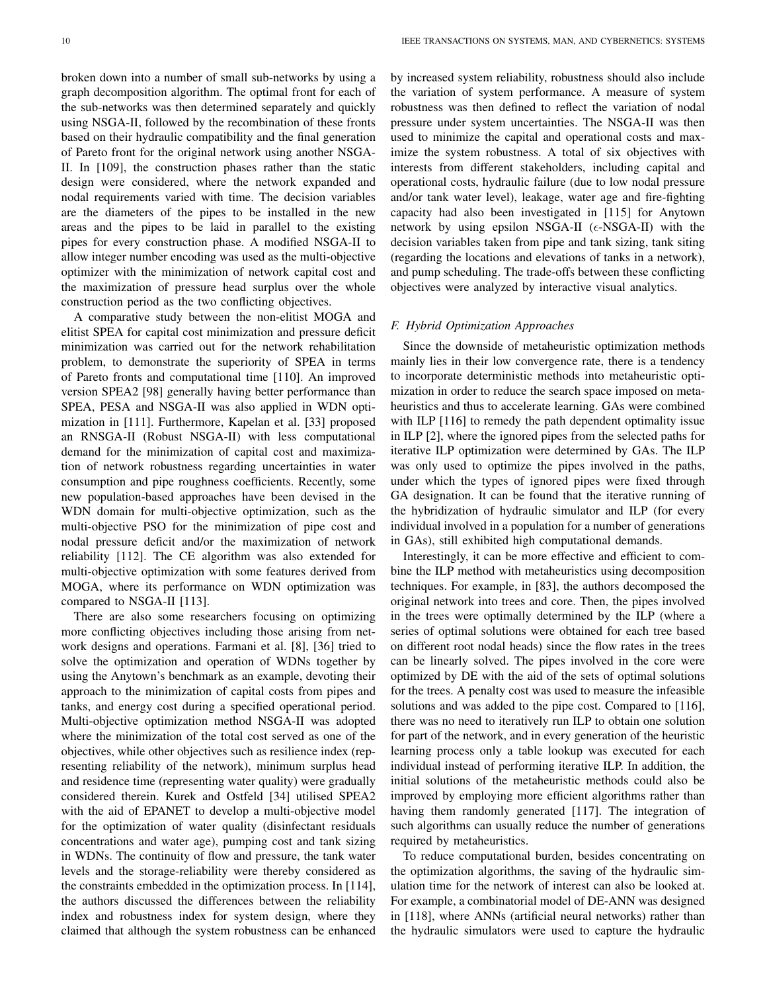broken down into a number of small sub-networks by using a graph decomposition algorithm. The optimal front for each of the sub-networks was then determined separately and quickly using NSGA-II, followed by the recombination of these fronts based on their hydraulic compatibility and the final generation of Pareto front for the original network using another NSGA-II. In [109], the construction phases rather than the static design were considered, where the network expanded and nodal requirements varied with time. The decision variables are the diameters of the pipes to be installed in the new areas and the pipes to be laid in parallel to the existing pipes for every construction phase. A modified NSGA-II to allow integer number encoding was used as the multi-objective optimizer with the minimization of network capital cost and the maximization of pressure head surplus over the whole construction period as the two conflicting objectives.

A comparative study between the non-elitist MOGA and elitist SPEA for capital cost minimization and pressure deficit minimization was carried out for the network rehabilitation problem, to demonstrate the superiority of SPEA in terms of Pareto fronts and computational time [110]. An improved version SPEA2 [98] generally having better performance than SPEA, PESA and NSGA-II was also applied in WDN optimization in [111]. Furthermore, Kapelan et al. [33] proposed an RNSGA-II (Robust NSGA-II) with less computational demand for the minimization of capital cost and maximization of network robustness regarding uncertainties in water consumption and pipe roughness coefficients. Recently, some new population-based approaches have been devised in the WDN domain for multi-objective optimization, such as the multi-objective PSO for the minimization of pipe cost and nodal pressure deficit and/or the maximization of network reliability [112]. The CE algorithm was also extended for multi-objective optimization with some features derived from MOGA, where its performance on WDN optimization was compared to NSGA-II [113].

There are also some researchers focusing on optimizing more conflicting objectives including those arising from network designs and operations. Farmani et al. [8], [36] tried to solve the optimization and operation of WDNs together by using the Anytown's benchmark as an example, devoting their approach to the minimization of capital costs from pipes and tanks, and energy cost during a specified operational period. Multi-objective optimization method NSGA-II was adopted where the minimization of the total cost served as one of the objectives, while other objectives such as resilience index (representing reliability of the network), minimum surplus head and residence time (representing water quality) were gradually considered therein. Kurek and Ostfeld [34] utilised SPEA2 with the aid of EPANET to develop a multi-objective model for the optimization of water quality (disinfectant residuals concentrations and water age), pumping cost and tank sizing in WDNs. The continuity of flow and pressure, the tank water levels and the storage-reliability were thereby considered as the constraints embedded in the optimization process. In [114], the authors discussed the differences between the reliability index and robustness index for system design, where they claimed that although the system robustness can be enhanced by increased system reliability, robustness should also include the variation of system performance. A measure of system robustness was then defined to reflect the variation of nodal pressure under system uncertainties. The NSGA-II was then used to minimize the capital and operational costs and maximize the system robustness. A total of six objectives with interests from different stakeholders, including capital and operational costs, hydraulic failure (due to low nodal pressure and/or tank water level), leakage, water age and fire-fighting capacity had also been investigated in [115] for Anytown network by using epsilon NSGA-II (*ϵ*-NSGA-II) with the decision variables taken from pipe and tank sizing, tank siting (regarding the locations and elevations of tanks in a network), and pump scheduling. The trade-offs between these conflicting objectives were analyzed by interactive visual analytics.

#### *F. Hybrid Optimization Approaches*

Since the downside of metaheuristic optimization methods mainly lies in their low convergence rate, there is a tendency to incorporate deterministic methods into metaheuristic optimization in order to reduce the search space imposed on metaheuristics and thus to accelerate learning. GAs were combined with ILP [116] to remedy the path dependent optimality issue in ILP [2], where the ignored pipes from the selected paths for iterative ILP optimization were determined by GAs. The ILP was only used to optimize the pipes involved in the paths, under which the types of ignored pipes were fixed through GA designation. It can be found that the iterative running of the hybridization of hydraulic simulator and ILP (for every individual involved in a population for a number of generations in GAs), still exhibited high computational demands.

Interestingly, it can be more effective and efficient to combine the ILP method with metaheuristics using decomposition techniques. For example, in [83], the authors decomposed the original network into trees and core. Then, the pipes involved in the trees were optimally determined by the ILP (where a series of optimal solutions were obtained for each tree based on different root nodal heads) since the flow rates in the trees can be linearly solved. The pipes involved in the core were optimized by DE with the aid of the sets of optimal solutions for the trees. A penalty cost was used to measure the infeasible solutions and was added to the pipe cost. Compared to [116], there was no need to iteratively run ILP to obtain one solution for part of the network, and in every generation of the heuristic learning process only a table lookup was executed for each individual instead of performing iterative ILP. In addition, the initial solutions of the metaheuristic methods could also be improved by employing more efficient algorithms rather than having them randomly generated [117]. The integration of such algorithms can usually reduce the number of generations required by metaheuristics.

To reduce computational burden, besides concentrating on the optimization algorithms, the saving of the hydraulic simulation time for the network of interest can also be looked at. For example, a combinatorial model of DE-ANN was designed in [118], where ANNs (artificial neural networks) rather than the hydraulic simulators were used to capture the hydraulic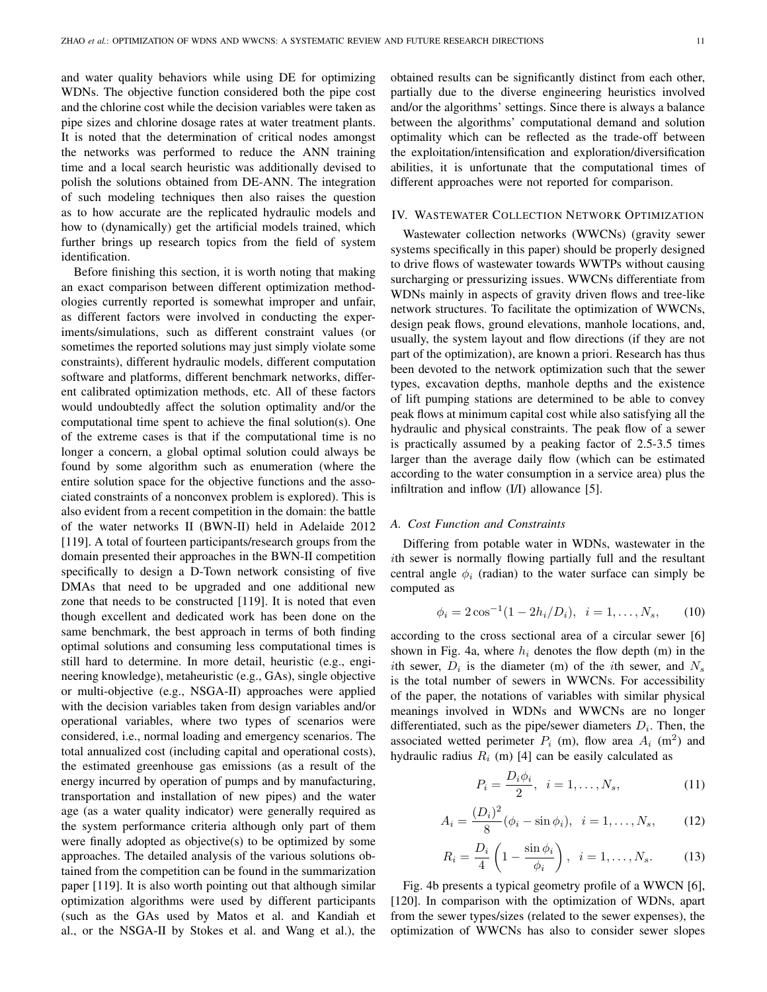and water quality behaviors while using DE for optimizing WDNs. The objective function considered both the pipe cost and the chlorine cost while the decision variables were taken as pipe sizes and chlorine dosage rates at water treatment plants. It is noted that the determination of critical nodes amongst the networks was performed to reduce the ANN training time and a local search heuristic was additionally devised to polish the solutions obtained from DE-ANN. The integration of such modeling techniques then also raises the question as to how accurate are the replicated hydraulic models and how to (dynamically) get the artificial models trained, which further brings up research topics from the field of system identification.

Before finishing this section, it is worth noting that making an exact comparison between different optimization methodologies currently reported is somewhat improper and unfair, as different factors were involved in conducting the experiments/simulations, such as different constraint values (or sometimes the reported solutions may just simply violate some constraints), different hydraulic models, different computation software and platforms, different benchmark networks, different calibrated optimization methods, etc. All of these factors would undoubtedly affect the solution optimality and/or the computational time spent to achieve the final solution(s). One of the extreme cases is that if the computational time is no longer a concern, a global optimal solution could always be found by some algorithm such as enumeration (where the entire solution space for the objective functions and the associated constraints of a nonconvex problem is explored). This is also evident from a recent competition in the domain: the battle of the water networks II (BWN-II) held in Adelaide 2012 [119]. A total of fourteen participants/research groups from the domain presented their approaches in the BWN-II competition specifically to design a D-Town network consisting of five DMAs that need to be upgraded and one additional new zone that needs to be constructed [119]. It is noted that even though excellent and dedicated work has been done on the same benchmark, the best approach in terms of both finding optimal solutions and consuming less computational times is still hard to determine. In more detail, heuristic (e.g., engineering knowledge), metaheuristic (e.g., GAs), single objective or multi-objective (e.g., NSGA-II) approaches were applied with the decision variables taken from design variables and/or operational variables, where two types of scenarios were considered, i.e., normal loading and emergency scenarios. The total annualized cost (including capital and operational costs), the estimated greenhouse gas emissions (as a result of the energy incurred by operation of pumps and by manufacturing, transportation and installation of new pipes) and the water age (as a water quality indicator) were generally required as the system performance criteria although only part of them were finally adopted as objective(s) to be optimized by some approaches. The detailed analysis of the various solutions obtained from the competition can be found in the summarization paper [119]. It is also worth pointing out that although similar optimization algorithms were used by different participants (such as the GAs used by Matos et al. and Kandiah et al., or the NSGA-II by Stokes et al. and Wang et al.), the

obtained results can be significantly distinct from each other, partially due to the diverse engineering heuristics involved and/or the algorithms' settings. Since there is always a balance between the algorithms' computational demand and solution optimality which can be reflected as the trade-off between the exploitation/intensification and exploration/diversification abilities, it is unfortunate that the computational times of different approaches were not reported for comparison.

# IV. WASTEWATER COLLECTION NETWORK OPTIMIZATION

Wastewater collection networks (WWCNs) (gravity sewer systems specifically in this paper) should be properly designed to drive flows of wastewater towards WWTPs without causing surcharging or pressurizing issues. WWCNs differentiate from WDNs mainly in aspects of gravity driven flows and tree-like network structures. To facilitate the optimization of WWCNs, design peak flows, ground elevations, manhole locations, and, usually, the system layout and flow directions (if they are not part of the optimization), are known a priori. Research has thus been devoted to the network optimization such that the sewer types, excavation depths, manhole depths and the existence of lift pumping stations are determined to be able to convey peak flows at minimum capital cost while also satisfying all the hydraulic and physical constraints. The peak flow of a sewer is practically assumed by a peaking factor of 2.5-3.5 times larger than the average daily flow (which can be estimated according to the water consumption in a service area) plus the infiltration and inflow (I/I) allowance [5].

## *A. Cost Function and Constraints*

Differing from potable water in WDNs, wastewater in the *i*th sewer is normally flowing partially full and the resultant central angle  $\phi_i$  (radian) to the water surface can simply be computed as

$$
\phi_i = 2\cos^{-1}(1 - 2h_i/D_i), \ \ i = 1, \dots, N_s, \qquad (10)
$$

according to the cross sectional area of a circular sewer [6] shown in Fig. 4a, where  $h_i$  denotes the flow depth (m) in the *i*th sewer,  $D_i$  is the diameter (m) of the *i*th sewer, and  $N_s$ is the total number of sewers in WWCNs. For accessibility of the paper, the notations of variables with similar physical meanings involved in WDNs and WWCNs are no longer differentiated, such as the pipe/sewer diameters  $D_i$ . Then, the associated wetted perimeter  $P_i$  (m), flow area  $A_i$  (m<sup>2</sup>) and hydraulic radius  $R_i$  (m) [4] can be easily calculated as

$$
P_i = \frac{D_i \phi_i}{2}, \ \ i = 1, \dots, N_s,
$$
 (11)

$$
A_i = \frac{(D_i)^2}{8} (\phi_i - \sin \phi_i), \ \ i = 1, \dots, N_s,
$$
 (12)

$$
R_i = \frac{D_i}{4} \left( 1 - \frac{\sin \phi_i}{\phi_i} \right), \quad i = 1, \dots, N_s. \tag{13}
$$

Fig. 4b presents a typical geometry profile of a WWCN [6], [120]. In comparison with the optimization of WDNs, apart from the sewer types/sizes (related to the sewer expenses), the optimization of WWCNs has also to consider sewer slopes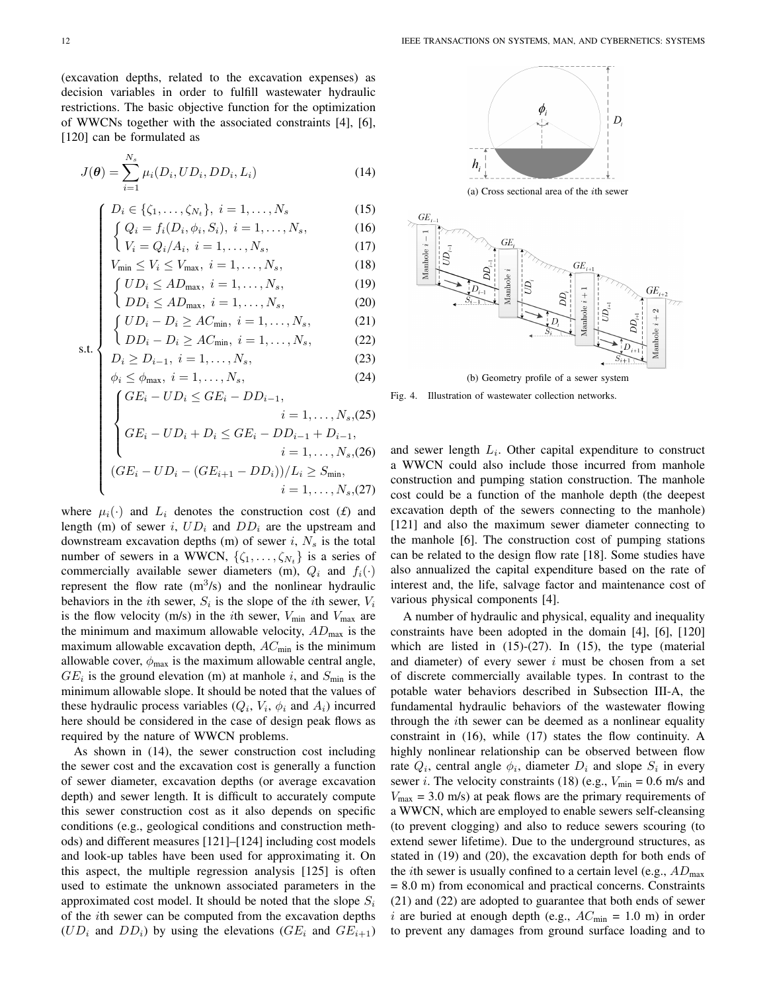(excavation depths, related to the excavation expenses) as decision variables in order to fulfill wastewater hydraulic restrictions. The basic objective function for the optimization of WWCNs together with the associated constraints [4], [6], [120] can be formulated as

$$
J(\boldsymbol{\theta}) = \sum_{i=1}^{N_s} \mu_i(D_i, UD_i, DD_i, L_i)
$$
\n(14)

$$
\int D_i \in \{\zeta_1, \dots, \zeta_{N_t}\}, \ i = 1, \dots, N_s \tag{15}
$$

$$
\int Q_i = f_i(D_i, \phi_i, S_i), \ i = 1, ..., N_s,
$$
 (16)

$$
\big(\,V_i = Q_i/A_i,\ i = 1,\ldots,N_s,\tag{17}
$$

$$
V_{\min} \le V_i \le V_{\max}, \ i = 1, \dots, N_s,
$$
\n(18)

$$
\int UD_i \le AD_{\text{max}}, \ i = 1, \dots, N_s, \tag{19}
$$

$$
(DDi \le ADmax, i = 1,...,Ns, \t(20)
$$

$$
\int UD_i - D_i \ge AC_{\min}, \ i = 1, \dots, N_s, \tag{21}
$$

$$
\begin{cases}\nQ_i = f_i(D_i, \phi_i, S_i), \ i = 1, ..., N_s, & (16) \\
V_i = Q_i/A_i, \ i = 1, ..., N_s, & (17) \\
V_{\min} \le V_i \le V_{\max}, \ i = 1, ..., N_s, & (18) \\
\{UD_i \le AD_{\max}, \ i = 1, ..., N_s, & (19) \\
DD_i \le AD_{\max}, \ i = 1, ..., N_s, & (20) \\
\{UD_i - D_i \ge AC_{\min}, \ i = 1, ..., N_s, & (21) \\
DD_i - D_i \ge AC_{\min}, \ i = 1, ..., N_s, & (22)\n\end{cases}
$$

$$
D_i \ge D_{i-1}, \ i = 1, \dots, N_s,\tag{23}
$$

$$
\phi_i \le \phi_{\text{max}}, \ i = 1, \dots, N_s, \tag{24}
$$

$$
\begin{cases}\nD_i \ge D_{i-1}, \ i = 1, \dots, N_s, & (25) \\
\phi_i \le \phi_{\text{max}}, \ i = 1, \dots, N_s, & (24) \\
G E_i - U D_i \le G E_i - D D_{i-1}, & (25) \\
G E_i - U D_i + D_i \le G E_i - D D_{i-1} + D_{i-1}, & (26) \\
(G E_i - U D_i - (G E_{i+1} - D D_i))/L_i \ge S_{\text{min}}, & (27)\n\end{cases}
$$

where  $\mu_i(\cdot)$  and  $L_i$  denotes the construction cost  $(f)$  and length (m) of sewer  $i$ ,  $UD_i$  and  $DD_i$  are the upstream and downstream excavation depths (m) of sewer *i*, *N<sup>s</sup>* is the total number of sewers in a WWCN,  $\{\zeta_1, \ldots, \zeta_{N_t}\}$  is a series of commercially available sewer diameters (m),  $Q_i$  and  $f_i(\cdot)$ represent the flow rate  $(m^3/s)$  and the nonlinear hydraulic behaviors in the *i*th sewer,  $S_i$  is the slope of the *i*th sewer,  $V_i$ is the flow velocity (m/s) in the *i*th sewer,  $V_{\text{min}}$  and  $V_{\text{max}}$  are the minimum and maximum allowable velocity, *AD*max is the maximum allowable excavation depth,  $AC<sub>min</sub>$  is the minimum allowable cover,  $\phi_{\text{max}}$  is the maximum allowable central angle,  $GE_i$  is the ground elevation (m) at manhole *i*, and  $S_{\text{min}}$  is the minimum allowable slope. It should be noted that the values of these hydraulic process variables  $(Q_i, V_i, \phi_i)$  and  $A_i$ ) incurred here should be considered in the case of design peak flows as required by the nature of WWCN problems.

As shown in (14), the sewer construction cost including the sewer cost and the excavation cost is generally a function of sewer diameter, excavation depths (or average excavation depth) and sewer length. It is difficult to accurately compute this sewer construction cost as it also depends on specific conditions (e.g., geological conditions and construction methods) and different measures [121]–[124] including cost models and look-up tables have been used for approximating it. On this aspect, the multiple regression analysis [125] is often used to estimate the unknown associated parameters in the approximated cost model. It should be noted that the slope *S<sup>i</sup>* of the *i*th sewer can be computed from the excavation depths  $(UD_i$  and  $DD_i)$  by using the elevations  $(GE_i)$  and  $GE_{i+1}$ 



(a) Cross sectional area of the *i*th sewer



Fig. 4. Illustration of wastewater collection networks.

and sewer length *L<sup>i</sup>* . Other capital expenditure to construct a WWCN could also include those incurred from manhole construction and pumping station construction. The manhole cost could be a function of the manhole depth (the deepest excavation depth of the sewers connecting to the manhole) [121] and also the maximum sewer diameter connecting to the manhole [6]. The construction cost of pumping stations can be related to the design flow rate [18]. Some studies have also annualized the capital expenditure based on the rate of interest and, the life, salvage factor and maintenance cost of various physical components [4].

A number of hydraulic and physical, equality and inequality constraints have been adopted in the domain [4], [6], [120] which are listed in  $(15)-(27)$ . In  $(15)$ , the type (material and diameter) of every sewer *i* must be chosen from a set of discrete commercially available types. In contrast to the potable water behaviors described in Subsection III-A, the fundamental hydraulic behaviors of the wastewater flowing through the *i*th sewer can be deemed as a nonlinear equality constraint in (16), while (17) states the flow continuity. A highly nonlinear relationship can be observed between flow rate  $Q_i$ , central angle  $\phi_i$ , diameter  $D_i$  and slope  $S_i$  in every sewer *i*. The velocity constraints (18) (e.g.,  $V_{\text{min}} = 0.6$  m/s and  $V_{\text{max}} = 3.0 \text{ m/s}$  at peak flows are the primary requirements of a WWCN, which are employed to enable sewers self-cleansing (to prevent clogging) and also to reduce sewers scouring (to extend sewer lifetime). Due to the underground structures, as stated in (19) and (20), the excavation depth for both ends of the *i*th sewer is usually confined to a certain level (e.g., *AD*max = 8.0 m) from economical and practical concerns. Constraints (21) and (22) are adopted to guarantee that both ends of sewer *i* are buried at enough depth (e.g.,  $AC_{\text{min}} = 1.0$  m) in order to prevent any damages from ground surface loading and to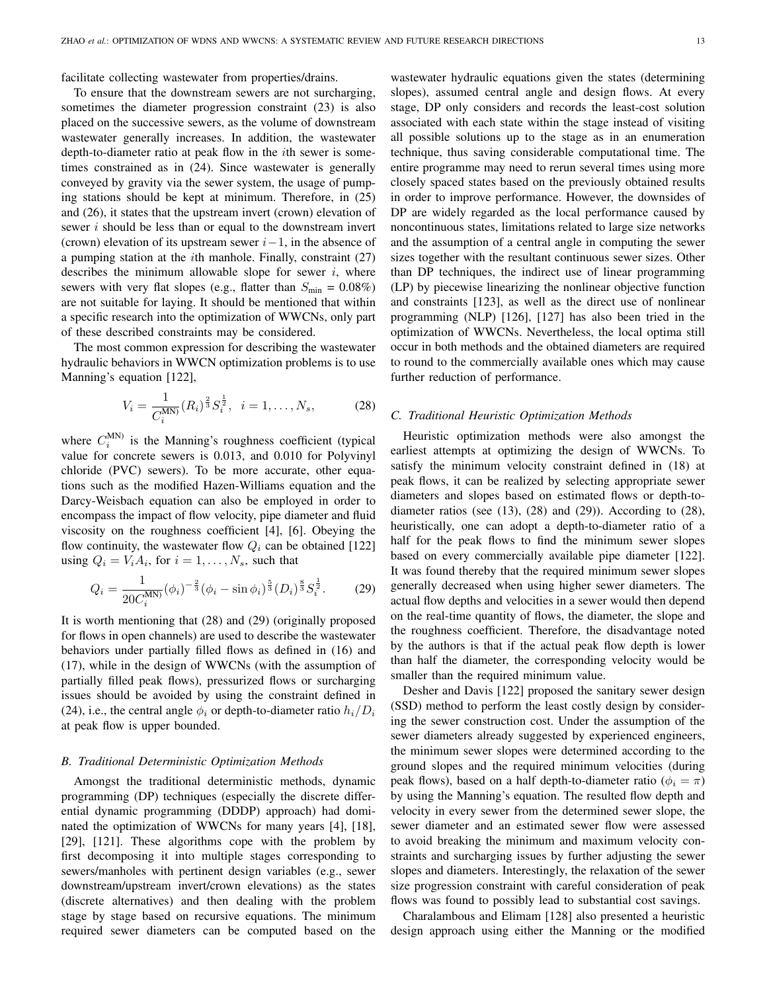facilitate collecting wastewater from properties/drains.

To ensure that the downstream sewers are not surcharging, sometimes the diameter progression constraint (23) is also placed on the successive sewers, as the volume of downstream wastewater generally increases. In addition, the wastewater depth-to-diameter ratio at peak flow in the *i*th sewer is sometimes constrained as in (24). Since wastewater is generally conveyed by gravity via the sewer system, the usage of pumping stations should be kept at minimum. Therefore, in (25) and (26), it states that the upstream invert (crown) elevation of sewer *i* should be less than or equal to the downstream invert (crown) elevation of its upstream sewer *i−*1, in the absence of a pumping station at the *i*th manhole. Finally, constraint (27) describes the minimum allowable slope for sewer *i*, where sewers with very flat slopes (e.g., flatter than  $S_{\text{min}} = 0.08\%$ ) are not suitable for laying. It should be mentioned that within a specific research into the optimization of WWCNs, only part of these described constraints may be considered.

The most common expression for describing the wastewater hydraulic behaviors in WWCN optimization problems is to use Manning's equation [122],

$$
V_i = \frac{1}{C_i^{\text{MN}}}(R_i)^{\frac{2}{3}} S_i^{\frac{1}{2}}, \quad i = 1, \dots, N_s,
$$
 (28)

where  $C_i^{MN}$  is the Manning's roughness coefficient (typical value for concrete sewers is 0.013, and 0.010 for Polyvinyl chloride (PVC) sewers). To be more accurate, other equations such as the modified Hazen-Williams equation and the Darcy-Weisbach equation can also be employed in order to encompass the impact of flow velocity, pipe diameter and fluid viscosity on the roughness coefficient [4], [6]. Obeying the flow continuity, the wastewater flow  $Q_i$  can be obtained [122] using  $Q_i = V_i A_i$ , for  $i = 1, \ldots, N_s$ , such that

$$
Q_i = \frac{1}{20C_i^{\text{MN}}}\left(\phi_i\right)^{-\frac{2}{3}}\left(\phi_i - \sin\phi_i\right)^{\frac{5}{3}}\left(D_i\right)^{\frac{8}{3}}S_i^{\frac{1}{2}}.\tag{29}
$$

It is worth mentioning that (28) and (29) (originally proposed for flows in open channels) are used to describe the wastewater behaviors under partially filled flows as defined in (16) and (17), while in the design of WWCNs (with the assumption of partially filled peak flows), pressurized flows or surcharging issues should be avoided by using the constraint defined in (24), i.e., the central angle  $\phi_i$  or depth-to-diameter ratio  $h_i/D_i$ at peak flow is upper bounded.

#### *B. Traditional Deterministic Optimization Methods*

Amongst the traditional deterministic methods, dynamic programming (DP) techniques (especially the discrete differential dynamic programming (DDDP) approach) had dominated the optimization of WWCNs for many years [4], [18], [29], [121]. These algorithms cope with the problem by first decomposing it into multiple stages corresponding to sewers/manholes with pertinent design variables (e.g., sewer downstream/upstream invert/crown elevations) as the states (discrete alternatives) and then dealing with the problem stage by stage based on recursive equations. The minimum required sewer diameters can be computed based on the

wastewater hydraulic equations given the states (determining slopes), assumed central angle and design flows. At every stage, DP only considers and records the least-cost solution associated with each state within the stage instead of visiting all possible solutions up to the stage as in an enumeration technique, thus saving considerable computational time. The entire programme may need to rerun several times using more closely spaced states based on the previously obtained results in order to improve performance. However, the downsides of DP are widely regarded as the local performance caused by noncontinuous states, limitations related to large size networks and the assumption of a central angle in computing the sewer sizes together with the resultant continuous sewer sizes. Other than DP techniques, the indirect use of linear programming (LP) by piecewise linearizing the nonlinear objective function and constraints [123], as well as the direct use of nonlinear programming (NLP) [126], [127] has also been tried in the optimization of WWCNs. Nevertheless, the local optima still occur in both methods and the obtained diameters are required to round to the commercially available ones which may cause further reduction of performance.

#### *C. Traditional Heuristic Optimization Methods*

Heuristic optimization methods were also amongst the earliest attempts at optimizing the design of WWCNs. To satisfy the minimum velocity constraint defined in (18) at peak flows, it can be realized by selecting appropriate sewer diameters and slopes based on estimated flows or depth-todiameter ratios (see  $(13)$ ,  $(28)$  and  $(29)$ ). According to  $(28)$ , heuristically, one can adopt a depth-to-diameter ratio of a half for the peak flows to find the minimum sewer slopes based on every commercially available pipe diameter [122]. It was found thereby that the required minimum sewer slopes generally decreased when using higher sewer diameters. The actual flow depths and velocities in a sewer would then depend on the real-time quantity of flows, the diameter, the slope and the roughness coefficient. Therefore, the disadvantage noted by the authors is that if the actual peak flow depth is lower than half the diameter, the corresponding velocity would be smaller than the required minimum value.

Desher and Davis [122] proposed the sanitary sewer design (SSD) method to perform the least costly design by considering the sewer construction cost. Under the assumption of the sewer diameters already suggested by experienced engineers, the minimum sewer slopes were determined according to the ground slopes and the required minimum velocities (during peak flows), based on a half depth-to-diameter ratio ( $\phi_i = \pi$ ) by using the Manning's equation. The resulted flow depth and velocity in every sewer from the determined sewer slope, the sewer diameter and an estimated sewer flow were assessed to avoid breaking the minimum and maximum velocity constraints and surcharging issues by further adjusting the sewer slopes and diameters. Interestingly, the relaxation of the sewer size progression constraint with careful consideration of peak flows was found to possibly lead to substantial cost savings.

Charalambous and Elimam [128] also presented a heuristic design approach using either the Manning or the modified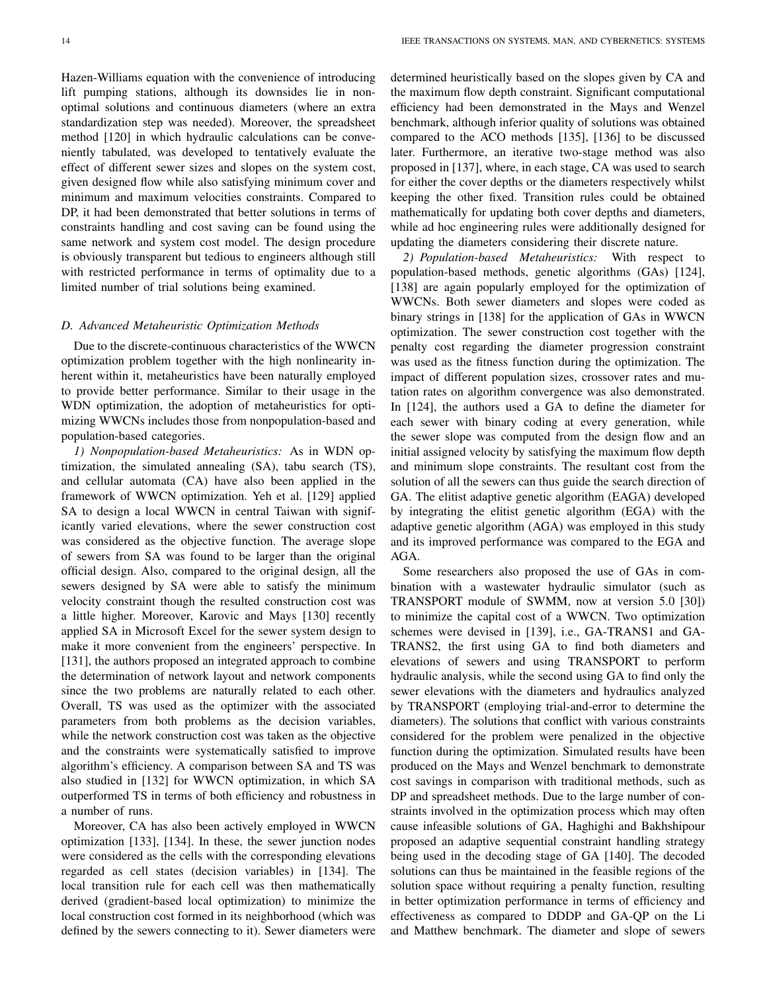Hazen-Williams equation with the convenience of introducing lift pumping stations, although its downsides lie in nonoptimal solutions and continuous diameters (where an extra standardization step was needed). Moreover, the spreadsheet method [120] in which hydraulic calculations can be conveniently tabulated, was developed to tentatively evaluate the effect of different sewer sizes and slopes on the system cost, given designed flow while also satisfying minimum cover and minimum and maximum velocities constraints. Compared to DP, it had been demonstrated that better solutions in terms of constraints handling and cost saving can be found using the same network and system cost model. The design procedure is obviously transparent but tedious to engineers although still with restricted performance in terms of optimality due to a limited number of trial solutions being examined.

#### *D. Advanced Metaheuristic Optimization Methods*

Due to the discrete-continuous characteristics of the WWCN optimization problem together with the high nonlinearity inherent within it, metaheuristics have been naturally employed to provide better performance. Similar to their usage in the WDN optimization, the adoption of metaheuristics for optimizing WWCNs includes those from nonpopulation-based and population-based categories.

*1) Nonpopulation-based Metaheuristics:* As in WDN optimization, the simulated annealing (SA), tabu search (TS), and cellular automata (CA) have also been applied in the framework of WWCN optimization. Yeh et al. [129] applied SA to design a local WWCN in central Taiwan with significantly varied elevations, where the sewer construction cost was considered as the objective function. The average slope of sewers from SA was found to be larger than the original official design. Also, compared to the original design, all the sewers designed by SA were able to satisfy the minimum velocity constraint though the resulted construction cost was a little higher. Moreover, Karovic and Mays [130] recently applied SA in Microsoft Excel for the sewer system design to make it more convenient from the engineers' perspective. In [131], the authors proposed an integrated approach to combine the determination of network layout and network components since the two problems are naturally related to each other. Overall, TS was used as the optimizer with the associated parameters from both problems as the decision variables, while the network construction cost was taken as the objective and the constraints were systematically satisfied to improve algorithm's efficiency. A comparison between SA and TS was also studied in [132] for WWCN optimization, in which SA outperformed TS in terms of both efficiency and robustness in a number of runs.

Moreover, CA has also been actively employed in WWCN optimization [133], [134]. In these, the sewer junction nodes were considered as the cells with the corresponding elevations regarded as cell states (decision variables) in [134]. The local transition rule for each cell was then mathematically derived (gradient-based local optimization) to minimize the local construction cost formed in its neighborhood (which was defined by the sewers connecting to it). Sewer diameters were

determined heuristically based on the slopes given by CA and the maximum flow depth constraint. Significant computational efficiency had been demonstrated in the Mays and Wenzel benchmark, although inferior quality of solutions was obtained compared to the ACO methods [135], [136] to be discussed later. Furthermore, an iterative two-stage method was also proposed in [137], where, in each stage, CA was used to search for either the cover depths or the diameters respectively whilst keeping the other fixed. Transition rules could be obtained mathematically for updating both cover depths and diameters, while ad hoc engineering rules were additionally designed for updating the diameters considering their discrete nature.

*2) Population-based Metaheuristics:* With respect to population-based methods, genetic algorithms (GAs) [124], [138] are again popularly employed for the optimization of WWCNs. Both sewer diameters and slopes were coded as binary strings in [138] for the application of GAs in WWCN optimization. The sewer construction cost together with the penalty cost regarding the diameter progression constraint was used as the fitness function during the optimization. The impact of different population sizes, crossover rates and mutation rates on algorithm convergence was also demonstrated. In [124], the authors used a GA to define the diameter for each sewer with binary coding at every generation, while the sewer slope was computed from the design flow and an initial assigned velocity by satisfying the maximum flow depth and minimum slope constraints. The resultant cost from the solution of all the sewers can thus guide the search direction of GA. The elitist adaptive genetic algorithm (EAGA) developed by integrating the elitist genetic algorithm (EGA) with the adaptive genetic algorithm (AGA) was employed in this study and its improved performance was compared to the EGA and AGA.

Some researchers also proposed the use of GAs in combination with a wastewater hydraulic simulator (such as TRANSPORT module of SWMM, now at version 5.0 [30]) to minimize the capital cost of a WWCN. Two optimization schemes were devised in [139], i.e., GA-TRANS1 and GA-TRANS2, the first using GA to find both diameters and elevations of sewers and using TRANSPORT to perform hydraulic analysis, while the second using GA to find only the sewer elevations with the diameters and hydraulics analyzed by TRANSPORT (employing trial-and-error to determine the diameters). The solutions that conflict with various constraints considered for the problem were penalized in the objective function during the optimization. Simulated results have been produced on the Mays and Wenzel benchmark to demonstrate cost savings in comparison with traditional methods, such as DP and spreadsheet methods. Due to the large number of constraints involved in the optimization process which may often cause infeasible solutions of GA, Haghighi and Bakhshipour proposed an adaptive sequential constraint handling strategy being used in the decoding stage of GA [140]. The decoded solutions can thus be maintained in the feasible regions of the solution space without requiring a penalty function, resulting in better optimization performance in terms of efficiency and effectiveness as compared to DDDP and GA-QP on the Li and Matthew benchmark. The diameter and slope of sewers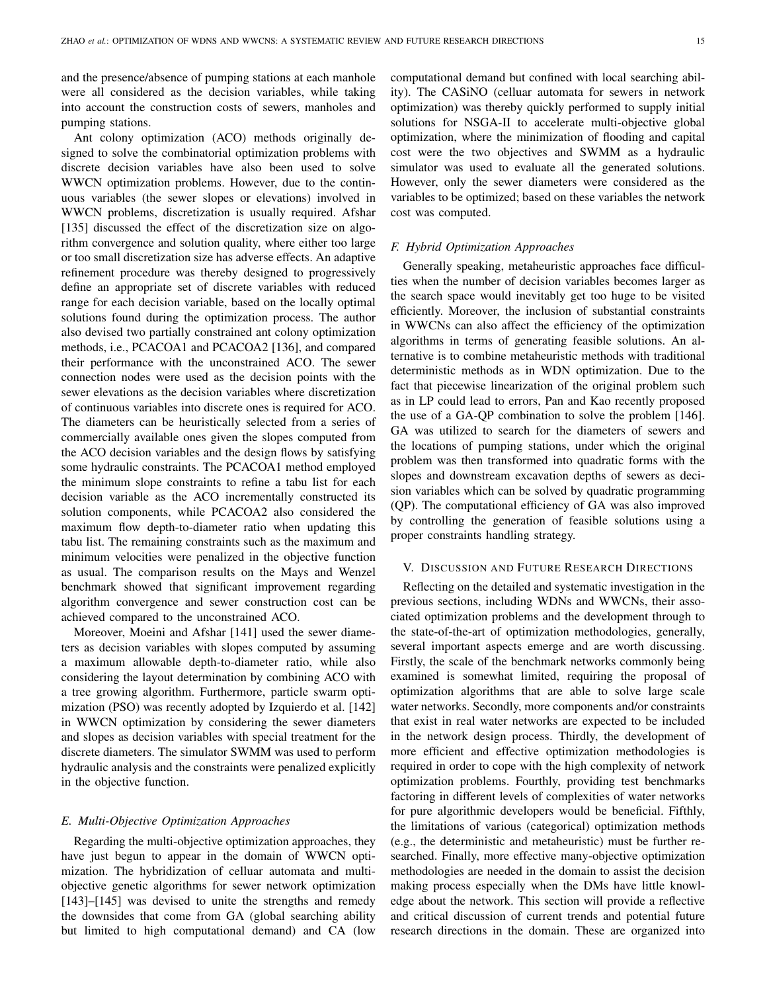and the presence/absence of pumping stations at each manhole were all considered as the decision variables, while taking into account the construction costs of sewers, manholes and pumping stations.

Ant colony optimization (ACO) methods originally designed to solve the combinatorial optimization problems with discrete decision variables have also been used to solve WWCN optimization problems. However, due to the continuous variables (the sewer slopes or elevations) involved in WWCN problems, discretization is usually required. Afshar [135] discussed the effect of the discretization size on algorithm convergence and solution quality, where either too large or too small discretization size has adverse effects. An adaptive refinement procedure was thereby designed to progressively define an appropriate set of discrete variables with reduced range for each decision variable, based on the locally optimal solutions found during the optimization process. The author also devised two partially constrained ant colony optimization methods, i.e., PCACOA1 and PCACOA2 [136], and compared their performance with the unconstrained ACO. The sewer connection nodes were used as the decision points with the sewer elevations as the decision variables where discretization of continuous variables into discrete ones is required for ACO. The diameters can be heuristically selected from a series of commercially available ones given the slopes computed from the ACO decision variables and the design flows by satisfying some hydraulic constraints. The PCACOA1 method employed the minimum slope constraints to refine a tabu list for each decision variable as the ACO incrementally constructed its solution components, while PCACOA2 also considered the maximum flow depth-to-diameter ratio when updating this tabu list. The remaining constraints such as the maximum and minimum velocities were penalized in the objective function as usual. The comparison results on the Mays and Wenzel benchmark showed that significant improvement regarding algorithm convergence and sewer construction cost can be achieved compared to the unconstrained ACO.

Moreover, Moeini and Afshar [141] used the sewer diameters as decision variables with slopes computed by assuming a maximum allowable depth-to-diameter ratio, while also considering the layout determination by combining ACO with a tree growing algorithm. Furthermore, particle swarm optimization (PSO) was recently adopted by Izquierdo et al. [142] in WWCN optimization by considering the sewer diameters and slopes as decision variables with special treatment for the discrete diameters. The simulator SWMM was used to perform hydraulic analysis and the constraints were penalized explicitly in the objective function.

# *E. Multi-Objective Optimization Approaches*

Regarding the multi-objective optimization approaches, they have just begun to appear in the domain of WWCN optimization. The hybridization of celluar automata and multiobjective genetic algorithms for sewer network optimization [143]–[145] was devised to unite the strengths and remedy the downsides that come from GA (global searching ability but limited to high computational demand) and CA (low computational demand but confined with local searching ability). The CASiNO (celluar automata for sewers in network optimization) was thereby quickly performed to supply initial solutions for NSGA-II to accelerate multi-objective global optimization, where the minimization of flooding and capital cost were the two objectives and SWMM as a hydraulic simulator was used to evaluate all the generated solutions. However, only the sewer diameters were considered as the variables to be optimized; based on these variables the network cost was computed.

#### *F. Hybrid Optimization Approaches*

Generally speaking, metaheuristic approaches face difficulties when the number of decision variables becomes larger as the search space would inevitably get too huge to be visited efficiently. Moreover, the inclusion of substantial constraints in WWCNs can also affect the efficiency of the optimization algorithms in terms of generating feasible solutions. An alternative is to combine metaheuristic methods with traditional deterministic methods as in WDN optimization. Due to the fact that piecewise linearization of the original problem such as in LP could lead to errors, Pan and Kao recently proposed the use of a GA-QP combination to solve the problem [146]. GA was utilized to search for the diameters of sewers and the locations of pumping stations, under which the original problem was then transformed into quadratic forms with the slopes and downstream excavation depths of sewers as decision variables which can be solved by quadratic programming (QP). The computational efficiency of GA was also improved by controlling the generation of feasible solutions using a proper constraints handling strategy.

# V. DISCUSSION AND FUTURE RESEARCH DIRECTIONS

Reflecting on the detailed and systematic investigation in the previous sections, including WDNs and WWCNs, their associated optimization problems and the development through to the state-of-the-art of optimization methodologies, generally, several important aspects emerge and are worth discussing. Firstly, the scale of the benchmark networks commonly being examined is somewhat limited, requiring the proposal of optimization algorithms that are able to solve large scale water networks. Secondly, more components and/or constraints that exist in real water networks are expected to be included in the network design process. Thirdly, the development of more efficient and effective optimization methodologies is required in order to cope with the high complexity of network optimization problems. Fourthly, providing test benchmarks factoring in different levels of complexities of water networks for pure algorithmic developers would be beneficial. Fifthly, the limitations of various (categorical) optimization methods (e.g., the deterministic and metaheuristic) must be further researched. Finally, more effective many-objective optimization methodologies are needed in the domain to assist the decision making process especially when the DMs have little knowledge about the network. This section will provide a reflective and critical discussion of current trends and potential future research directions in the domain. These are organized into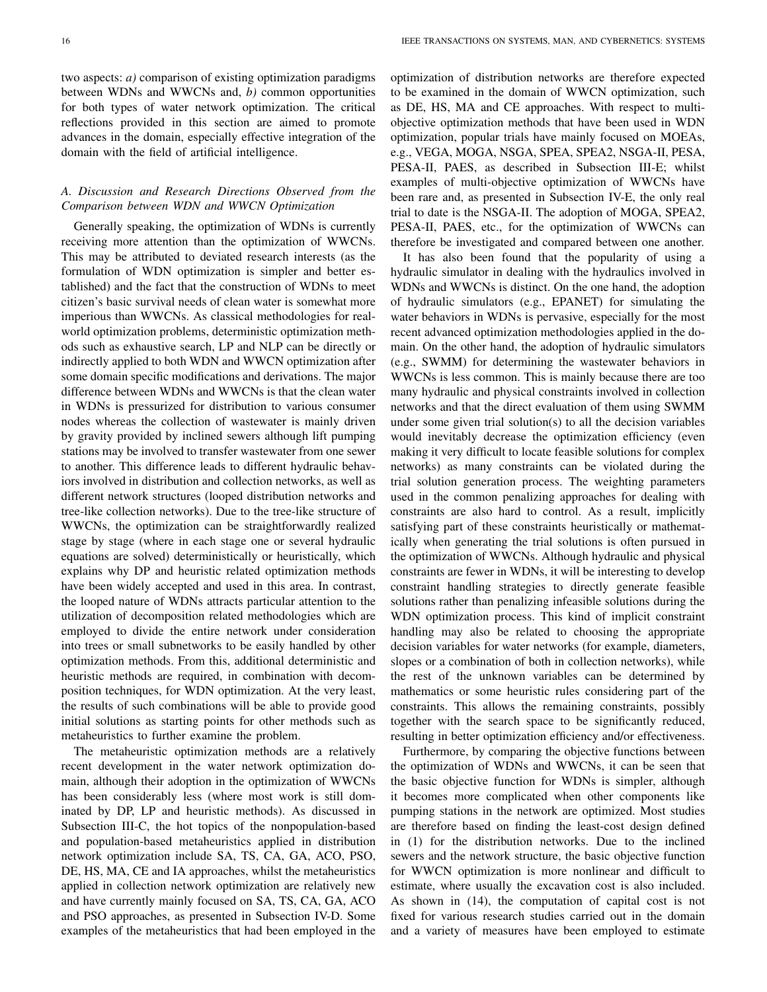two aspects: *a)* comparison of existing optimization paradigms between WDNs and WWCNs and, *b)* common opportunities for both types of water network optimization. The critical reflections provided in this section are aimed to promote advances in the domain, especially effective integration of the domain with the field of artificial intelligence.

# *A. Discussion and Research Directions Observed from the Comparison between WDN and WWCN Optimization*

Generally speaking, the optimization of WDNs is currently receiving more attention than the optimization of WWCNs. This may be attributed to deviated research interests (as the formulation of WDN optimization is simpler and better established) and the fact that the construction of WDNs to meet citizen's basic survival needs of clean water is somewhat more imperious than WWCNs. As classical methodologies for realworld optimization problems, deterministic optimization methods such as exhaustive search, LP and NLP can be directly or indirectly applied to both WDN and WWCN optimization after some domain specific modifications and derivations. The major difference between WDNs and WWCNs is that the clean water in WDNs is pressurized for distribution to various consumer nodes whereas the collection of wastewater is mainly driven by gravity provided by inclined sewers although lift pumping stations may be involved to transfer wastewater from one sewer to another. This difference leads to different hydraulic behaviors involved in distribution and collection networks, as well as different network structures (looped distribution networks and tree-like collection networks). Due to the tree-like structure of WWCNs, the optimization can be straightforwardly realized stage by stage (where in each stage one or several hydraulic equations are solved) deterministically or heuristically, which explains why DP and heuristic related optimization methods have been widely accepted and used in this area. In contrast, the looped nature of WDNs attracts particular attention to the utilization of decomposition related methodologies which are employed to divide the entire network under consideration into trees or small subnetworks to be easily handled by other optimization methods. From this, additional deterministic and heuristic methods are required, in combination with decomposition techniques, for WDN optimization. At the very least, the results of such combinations will be able to provide good initial solutions as starting points for other methods such as metaheuristics to further examine the problem.

The metaheuristic optimization methods are a relatively recent development in the water network optimization domain, although their adoption in the optimization of WWCNs has been considerably less (where most work is still dominated by DP, LP and heuristic methods). As discussed in Subsection III-C, the hot topics of the nonpopulation-based and population-based metaheuristics applied in distribution network optimization include SA, TS, CA, GA, ACO, PSO, DE, HS, MA, CE and IA approaches, whilst the metaheuristics applied in collection network optimization are relatively new and have currently mainly focused on SA, TS, CA, GA, ACO and PSO approaches, as presented in Subsection IV-D. Some examples of the metaheuristics that had been employed in the optimization of distribution networks are therefore expected to be examined in the domain of WWCN optimization, such as DE, HS, MA and CE approaches. With respect to multiobjective optimization methods that have been used in WDN optimization, popular trials have mainly focused on MOEAs, e.g., VEGA, MOGA, NSGA, SPEA, SPEA2, NSGA-II, PESA, PESA-II, PAES, as described in Subsection III-E; whilst examples of multi-objective optimization of WWCNs have been rare and, as presented in Subsection IV-E, the only real trial to date is the NSGA-II. The adoption of MOGA, SPEA2, PESA-II, PAES, etc., for the optimization of WWCNs can therefore be investigated and compared between one another.

It has also been found that the popularity of using a hydraulic simulator in dealing with the hydraulics involved in WDNs and WWCNs is distinct. On the one hand, the adoption of hydraulic simulators (e.g., EPANET) for simulating the water behaviors in WDNs is pervasive, especially for the most recent advanced optimization methodologies applied in the domain. On the other hand, the adoption of hydraulic simulators (e.g., SWMM) for determining the wastewater behaviors in WWCNs is less common. This is mainly because there are too many hydraulic and physical constraints involved in collection networks and that the direct evaluation of them using SWMM under some given trial solution(s) to all the decision variables would inevitably decrease the optimization efficiency (even making it very difficult to locate feasible solutions for complex networks) as many constraints can be violated during the trial solution generation process. The weighting parameters used in the common penalizing approaches for dealing with constraints are also hard to control. As a result, implicitly satisfying part of these constraints heuristically or mathematically when generating the trial solutions is often pursued in the optimization of WWCNs. Although hydraulic and physical constraints are fewer in WDNs, it will be interesting to develop constraint handling strategies to directly generate feasible solutions rather than penalizing infeasible solutions during the WDN optimization process. This kind of implicit constraint handling may also be related to choosing the appropriate decision variables for water networks (for example, diameters, slopes or a combination of both in collection networks), while the rest of the unknown variables can be determined by mathematics or some heuristic rules considering part of the constraints. This allows the remaining constraints, possibly together with the search space to be significantly reduced, resulting in better optimization efficiency and/or effectiveness.

Furthermore, by comparing the objective functions between the optimization of WDNs and WWCNs, it can be seen that the basic objective function for WDNs is simpler, although it becomes more complicated when other components like pumping stations in the network are optimized. Most studies are therefore based on finding the least-cost design defined in (1) for the distribution networks. Due to the inclined sewers and the network structure, the basic objective function for WWCN optimization is more nonlinear and difficult to estimate, where usually the excavation cost is also included. As shown in (14), the computation of capital cost is not fixed for various research studies carried out in the domain and a variety of measures have been employed to estimate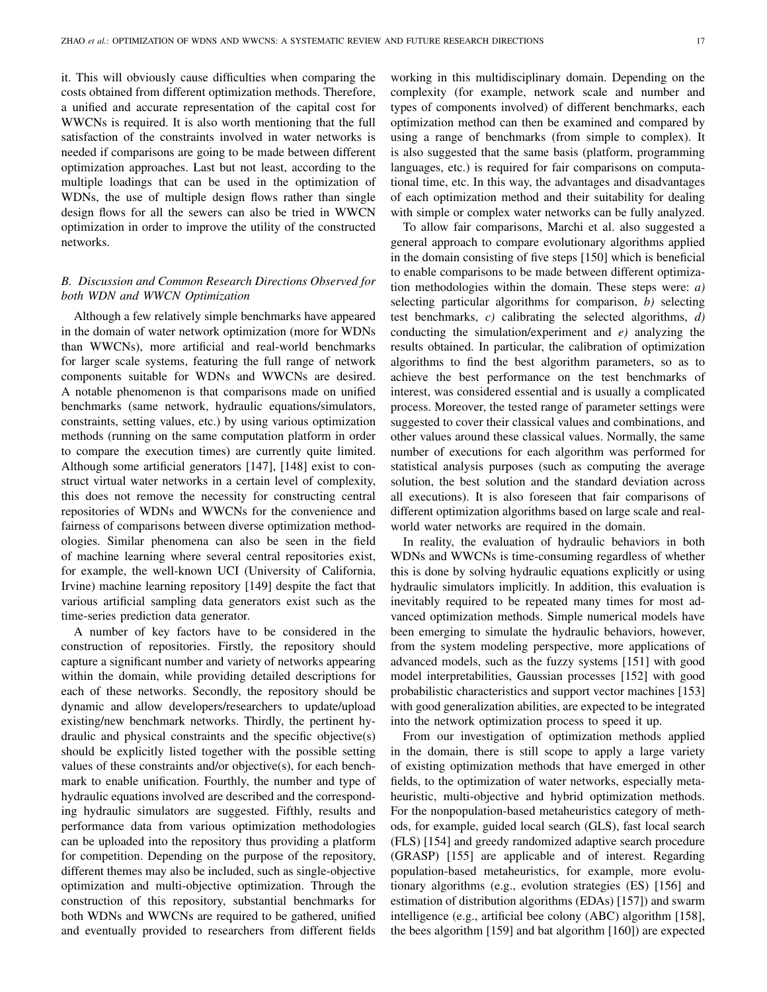it. This will obviously cause difficulties when comparing the costs obtained from different optimization methods. Therefore, a unified and accurate representation of the capital cost for WWCNs is required. It is also worth mentioning that the full satisfaction of the constraints involved in water networks is needed if comparisons are going to be made between different optimization approaches. Last but not least, according to the multiple loadings that can be used in the optimization of WDNs, the use of multiple design flows rather than single design flows for all the sewers can also be tried in WWCN optimization in order to improve the utility of the constructed networks.

# *B. Discussion and Common Research Directions Observed for both WDN and WWCN Optimization*

Although a few relatively simple benchmarks have appeared in the domain of water network optimization (more for WDNs than WWCNs), more artificial and real-world benchmarks for larger scale systems, featuring the full range of network components suitable for WDNs and WWCNs are desired. A notable phenomenon is that comparisons made on unified benchmarks (same network, hydraulic equations/simulators, constraints, setting values, etc.) by using various optimization methods (running on the same computation platform in order to compare the execution times) are currently quite limited. Although some artificial generators [147], [148] exist to construct virtual water networks in a certain level of complexity, this does not remove the necessity for constructing central repositories of WDNs and WWCNs for the convenience and fairness of comparisons between diverse optimization methodologies. Similar phenomena can also be seen in the field of machine learning where several central repositories exist, for example, the well-known UCI (University of California, Irvine) machine learning repository [149] despite the fact that various artificial sampling data generators exist such as the time-series prediction data generator.

A number of key factors have to be considered in the construction of repositories. Firstly, the repository should capture a significant number and variety of networks appearing within the domain, while providing detailed descriptions for each of these networks. Secondly, the repository should be dynamic and allow developers/researchers to update/upload existing/new benchmark networks. Thirdly, the pertinent hydraulic and physical constraints and the specific objective(s) should be explicitly listed together with the possible setting values of these constraints and/or objective(s), for each benchmark to enable unification. Fourthly, the number and type of hydraulic equations involved are described and the corresponding hydraulic simulators are suggested. Fifthly, results and performance data from various optimization methodologies can be uploaded into the repository thus providing a platform for competition. Depending on the purpose of the repository, different themes may also be included, such as single-objective optimization and multi-objective optimization. Through the construction of this repository, substantial benchmarks for both WDNs and WWCNs are required to be gathered, unified and eventually provided to researchers from different fields

working in this multidisciplinary domain. Depending on the complexity (for example, network scale and number and types of components involved) of different benchmarks, each optimization method can then be examined and compared by using a range of benchmarks (from simple to complex). It is also suggested that the same basis (platform, programming languages, etc.) is required for fair comparisons on computational time, etc. In this way, the advantages and disadvantages of each optimization method and their suitability for dealing with simple or complex water networks can be fully analyzed.

To allow fair comparisons, Marchi et al. also suggested a general approach to compare evolutionary algorithms applied in the domain consisting of five steps [150] which is beneficial to enable comparisons to be made between different optimization methodologies within the domain. These steps were: *a)* selecting particular algorithms for comparison, *b)* selecting test benchmarks, *c)* calibrating the selected algorithms, *d)* conducting the simulation/experiment and *e)* analyzing the results obtained. In particular, the calibration of optimization algorithms to find the best algorithm parameters, so as to achieve the best performance on the test benchmarks of interest, was considered essential and is usually a complicated process. Moreover, the tested range of parameter settings were suggested to cover their classical values and combinations, and other values around these classical values. Normally, the same number of executions for each algorithm was performed for statistical analysis purposes (such as computing the average solution, the best solution and the standard deviation across all executions). It is also foreseen that fair comparisons of different optimization algorithms based on large scale and realworld water networks are required in the domain.

In reality, the evaluation of hydraulic behaviors in both WDNs and WWCNs is time-consuming regardless of whether this is done by solving hydraulic equations explicitly or using hydraulic simulators implicitly. In addition, this evaluation is inevitably required to be repeated many times for most advanced optimization methods. Simple numerical models have been emerging to simulate the hydraulic behaviors, however, from the system modeling perspective, more applications of advanced models, such as the fuzzy systems [151] with good model interpretabilities, Gaussian processes [152] with good probabilistic characteristics and support vector machines [153] with good generalization abilities, are expected to be integrated into the network optimization process to speed it up.

From our investigation of optimization methods applied in the domain, there is still scope to apply a large variety of existing optimization methods that have emerged in other fields, to the optimization of water networks, especially metaheuristic, multi-objective and hybrid optimization methods. For the nonpopulation-based metaheuristics category of methods, for example, guided local search (GLS), fast local search (FLS) [154] and greedy randomized adaptive search procedure (GRASP) [155] are applicable and of interest. Regarding population-based metaheuristics, for example, more evolutionary algorithms (e.g., evolution strategies (ES) [156] and estimation of distribution algorithms (EDAs) [157]) and swarm intelligence (e.g., artificial bee colony (ABC) algorithm [158], the bees algorithm [159] and bat algorithm [160]) are expected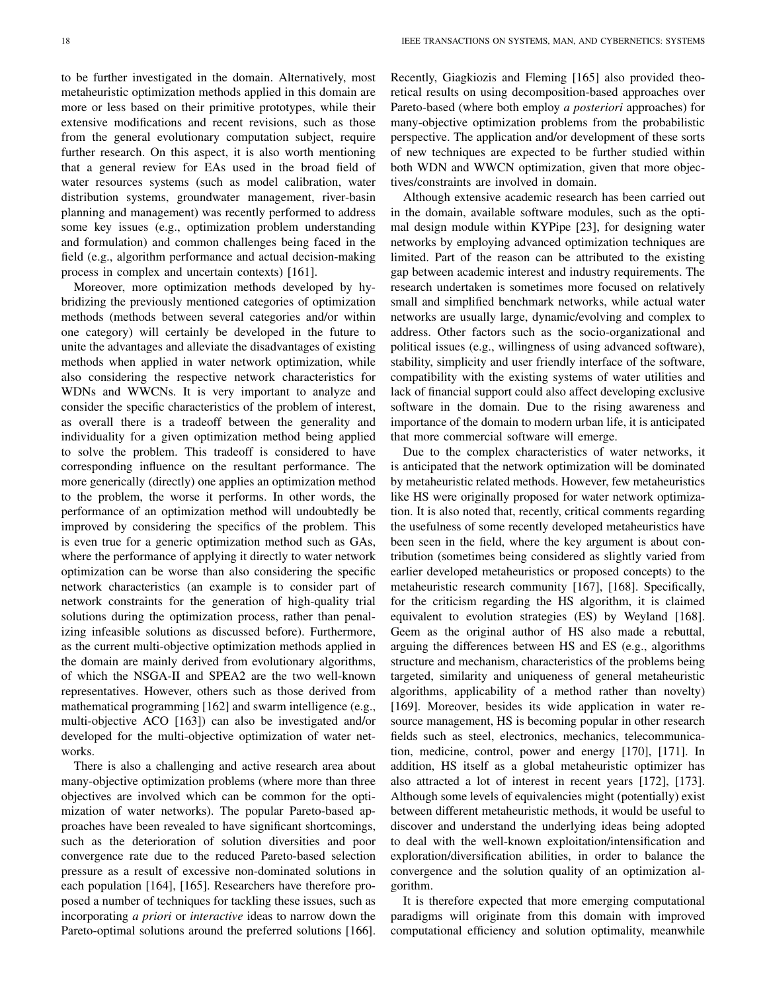to be further investigated in the domain. Alternatively, most metaheuristic optimization methods applied in this domain are more or less based on their primitive prototypes, while their extensive modifications and recent revisions, such as those from the general evolutionary computation subject, require further research. On this aspect, it is also worth mentioning that a general review for EAs used in the broad field of water resources systems (such as model calibration, water distribution systems, groundwater management, river-basin planning and management) was recently performed to address some key issues (e.g., optimization problem understanding and formulation) and common challenges being faced in the field (e.g., algorithm performance and actual decision-making process in complex and uncertain contexts) [161].

Moreover, more optimization methods developed by hybridizing the previously mentioned categories of optimization methods (methods between several categories and/or within one category) will certainly be developed in the future to unite the advantages and alleviate the disadvantages of existing methods when applied in water network optimization, while also considering the respective network characteristics for WDNs and WWCNs. It is very important to analyze and consider the specific characteristics of the problem of interest, as overall there is a tradeoff between the generality and individuality for a given optimization method being applied to solve the problem. This tradeoff is considered to have corresponding influence on the resultant performance. The more generically (directly) one applies an optimization method to the problem, the worse it performs. In other words, the performance of an optimization method will undoubtedly be improved by considering the specifics of the problem. This is even true for a generic optimization method such as GAs, where the performance of applying it directly to water network optimization can be worse than also considering the specific network characteristics (an example is to consider part of network constraints for the generation of high-quality trial solutions during the optimization process, rather than penalizing infeasible solutions as discussed before). Furthermore, as the current multi-objective optimization methods applied in the domain are mainly derived from evolutionary algorithms, of which the NSGA-II and SPEA2 are the two well-known representatives. However, others such as those derived from mathematical programming [162] and swarm intelligence (e.g., multi-objective ACO [163]) can also be investigated and/or developed for the multi-objective optimization of water networks.

There is also a challenging and active research area about many-objective optimization problems (where more than three objectives are involved which can be common for the optimization of water networks). The popular Pareto-based approaches have been revealed to have significant shortcomings, such as the deterioration of solution diversities and poor convergence rate due to the reduced Pareto-based selection pressure as a result of excessive non-dominated solutions in each population [164], [165]. Researchers have therefore proposed a number of techniques for tackling these issues, such as incorporating *a priori* or *interactive* ideas to narrow down the Pareto-optimal solutions around the preferred solutions [166]. Recently, Giagkiozis and Fleming [165] also provided theoretical results on using decomposition-based approaches over Pareto-based (where both employ *a posteriori* approaches) for many-objective optimization problems from the probabilistic perspective. The application and/or development of these sorts of new techniques are expected to be further studied within both WDN and WWCN optimization, given that more objectives/constraints are involved in domain.

Although extensive academic research has been carried out in the domain, available software modules, such as the optimal design module within KYPipe [23], for designing water networks by employing advanced optimization techniques are limited. Part of the reason can be attributed to the existing gap between academic interest and industry requirements. The research undertaken is sometimes more focused on relatively small and simplified benchmark networks, while actual water networks are usually large, dynamic/evolving and complex to address. Other factors such as the socio-organizational and political issues (e.g., willingness of using advanced software), stability, simplicity and user friendly interface of the software, compatibility with the existing systems of water utilities and lack of financial support could also affect developing exclusive software in the domain. Due to the rising awareness and importance of the domain to modern urban life, it is anticipated that more commercial software will emerge.

Due to the complex characteristics of water networks, it is anticipated that the network optimization will be dominated by metaheuristic related methods. However, few metaheuristics like HS were originally proposed for water network optimization. It is also noted that, recently, critical comments regarding the usefulness of some recently developed metaheuristics have been seen in the field, where the key argument is about contribution (sometimes being considered as slightly varied from earlier developed metaheuristics or proposed concepts) to the metaheuristic research community [167], [168]. Specifically, for the criticism regarding the HS algorithm, it is claimed equivalent to evolution strategies (ES) by Weyland [168]. Geem as the original author of HS also made a rebuttal, arguing the differences between HS and ES (e.g., algorithms structure and mechanism, characteristics of the problems being targeted, similarity and uniqueness of general metaheuristic algorithms, applicability of a method rather than novelty) [169]. Moreover, besides its wide application in water resource management, HS is becoming popular in other research fields such as steel, electronics, mechanics, telecommunication, medicine, control, power and energy [170], [171]. In addition, HS itself as a global metaheuristic optimizer has also attracted a lot of interest in recent years [172], [173]. Although some levels of equivalencies might (potentially) exist between different metaheuristic methods, it would be useful to discover and understand the underlying ideas being adopted to deal with the well-known exploitation/intensification and exploration/diversification abilities, in order to balance the convergence and the solution quality of an optimization algorithm.

It is therefore expected that more emerging computational paradigms will originate from this domain with improved computational efficiency and solution optimality, meanwhile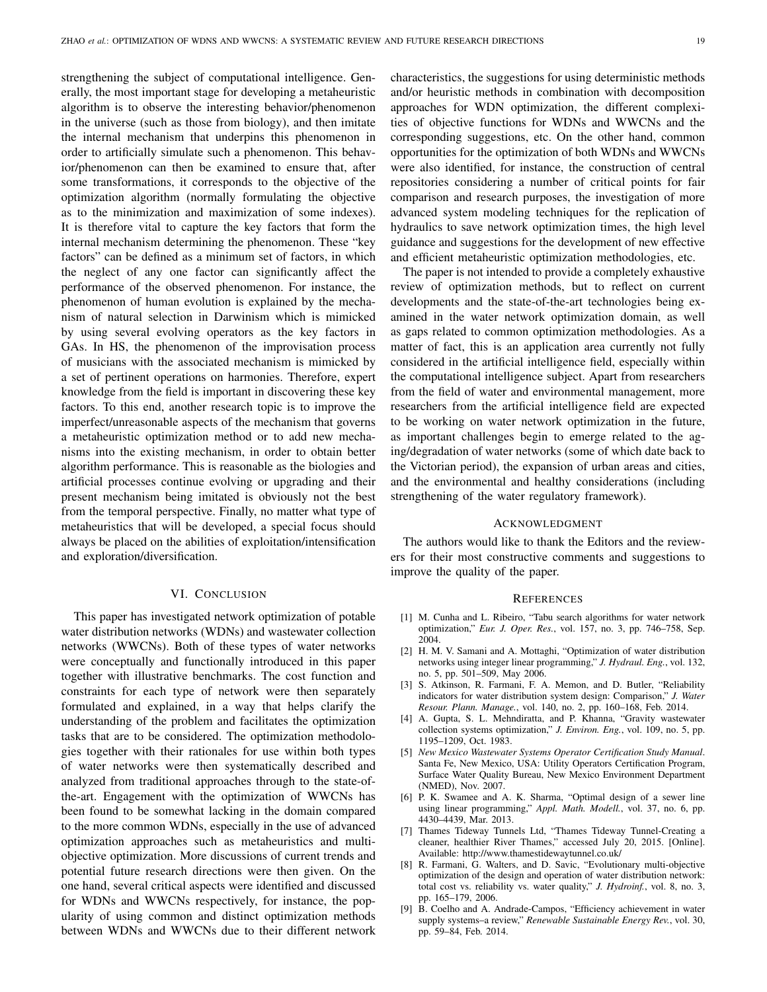strengthening the subject of computational intelligence. Generally, the most important stage for developing a metaheuristic algorithm is to observe the interesting behavior/phenomenon in the universe (such as those from biology), and then imitate the internal mechanism that underpins this phenomenon in order to artificially simulate such a phenomenon. This behavior/phenomenon can then be examined to ensure that, after some transformations, it corresponds to the objective of the optimization algorithm (normally formulating the objective as to the minimization and maximization of some indexes). It is therefore vital to capture the key factors that form the internal mechanism determining the phenomenon. These "key factors" can be defined as a minimum set of factors, in which the neglect of any one factor can significantly affect the performance of the observed phenomenon. For instance, the phenomenon of human evolution is explained by the mechanism of natural selection in Darwinism which is mimicked by using several evolving operators as the key factors in GAs. In HS, the phenomenon of the improvisation process of musicians with the associated mechanism is mimicked by a set of pertinent operations on harmonies. Therefore, expert knowledge from the field is important in discovering these key factors. To this end, another research topic is to improve the imperfect/unreasonable aspects of the mechanism that governs a metaheuristic optimization method or to add new mechanisms into the existing mechanism, in order to obtain better algorithm performance. This is reasonable as the biologies and artificial processes continue evolving or upgrading and their present mechanism being imitated is obviously not the best from the temporal perspective. Finally, no matter what type of metaheuristics that will be developed, a special focus should always be placed on the abilities of exploitation/intensification and exploration/diversification.

# VI. CONCLUSION

This paper has investigated network optimization of potable water distribution networks (WDNs) and wastewater collection networks (WWCNs). Both of these types of water networks were conceptually and functionally introduced in this paper together with illustrative benchmarks. The cost function and constraints for each type of network were then separately formulated and explained, in a way that helps clarify the understanding of the problem and facilitates the optimization tasks that are to be considered. The optimization methodologies together with their rationales for use within both types of water networks were then systematically described and analyzed from traditional approaches through to the state-ofthe-art. Engagement with the optimization of WWCNs has been found to be somewhat lacking in the domain compared to the more common WDNs, especially in the use of advanced optimization approaches such as metaheuristics and multiobjective optimization. More discussions of current trends and potential future research directions were then given. On the one hand, several critical aspects were identified and discussed for WDNs and WWCNs respectively, for instance, the popularity of using common and distinct optimization methods between WDNs and WWCNs due to their different network

characteristics, the suggestions for using deterministic methods and/or heuristic methods in combination with decomposition approaches for WDN optimization, the different complexities of objective functions for WDNs and WWCNs and the corresponding suggestions, etc. On the other hand, common opportunities for the optimization of both WDNs and WWCNs were also identified, for instance, the construction of central repositories considering a number of critical points for fair comparison and research purposes, the investigation of more advanced system modeling techniques for the replication of hydraulics to save network optimization times, the high level guidance and suggestions for the development of new effective and efficient metaheuristic optimization methodologies, etc.

The paper is not intended to provide a completely exhaustive review of optimization methods, but to reflect on current developments and the state-of-the-art technologies being examined in the water network optimization domain, as well as gaps related to common optimization methodologies. As a matter of fact, this is an application area currently not fully considered in the artificial intelligence field, especially within the computational intelligence subject. Apart from researchers from the field of water and environmental management, more researchers from the artificial intelligence field are expected to be working on water network optimization in the future, as important challenges begin to emerge related to the aging/degradation of water networks (some of which date back to the Victorian period), the expansion of urban areas and cities, and the environmental and healthy considerations (including strengthening of the water regulatory framework).

## **ACKNOWLEDGMENT**

The authors would like to thank the Editors and the reviewers for their most constructive comments and suggestions to improve the quality of the paper.

#### **REFERENCES**

- [1] M. Cunha and L. Ribeiro, "Tabu search algorithms for water network optimization," *Eur. J. Oper. Res.*, vol. 157, no. 3, pp. 746–758, Sep. 2004.
- [2] H. M. V. Samani and A. Mottaghi, "Optimization of water distribution networks using integer linear programming," *J. Hydraul. Eng.*, vol. 132, no. 5, pp. 501–509, May 2006.
- [3] S. Atkinson, R. Farmani, F. A. Memon, and D. Butler, "Reliability indicators for water distribution system design: Comparison," *J. Water Resour. Plann. Manage.*, vol. 140, no. 2, pp. 160–168, Feb. 2014.
- [4] A. Gupta, S. L. Mehndiratta, and P. Khanna, "Gravity wastewater collection systems optimization," *J. Environ. Eng.*, vol. 109, no. 5, pp. 1195–1209, Oct. 1983.
- [5] *New Mexico Wastewater Systems Operator Certification Study Manual*. Santa Fe, New Mexico, USA: Utility Operators Certification Program, Surface Water Quality Bureau, New Mexico Environment Department (NMED), Nov. 2007.
- [6] P. K. Swamee and A. K. Sharma, "Optimal design of a sewer line using linear programming," *Appl. Math. Modell.*, vol. 37, no. 6, pp. 4430–4439, Mar. 2013.
- [7] Thames Tideway Tunnels Ltd, "Thames Tideway Tunnel-Creating a cleaner, healthier River Thames," accessed July 20, 2015. [Online]. Available: http://www.thamestidewaytunnel.co.uk/
- [8] R. Farmani, G. Walters, and D. Savic, "Evolutionary multi-objective optimization of the design and operation of water distribution network: total cost vs. reliability vs. water quality," *J. Hydroinf.*, vol. 8, no. 3, pp. 165–179, 2006.
- [9] B. Coelho and A. Andrade-Campos, "Efficiency achievement in water supply systems–a review," *Renewable Sustainable Energy Rev.*, vol. 30, pp. 59–84, Feb. 2014.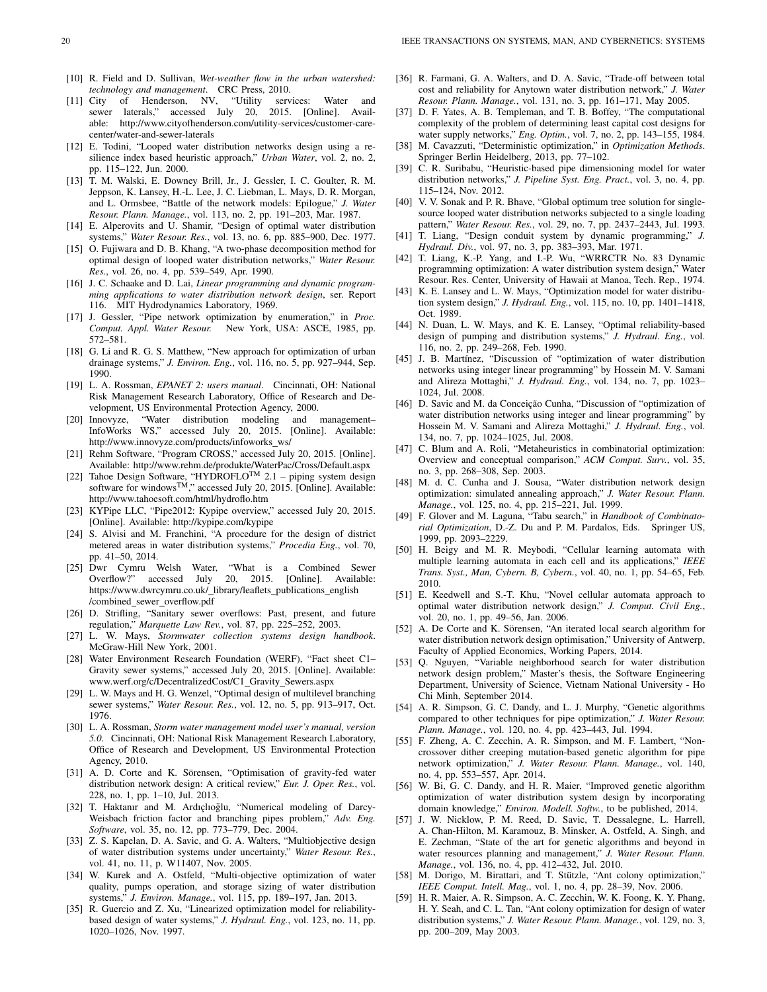- [10] R. Field and D. Sullivan, *Wet-weather flow in the urban watershed: technology and management*. CRC Press, 2010.
- [11] City of Henderson, NV, "Utility services: Water and sewer laterals," accessed July 20, 2015. [Online]. Available: http://www.cityofhenderson.com/utility-services/customer-carecenter/water-and-sewer-laterals
- [12] E. Todini, "Looped water distribution networks design using a resilience index based heuristic approach," *Urban Water*, vol. 2, no. 2, pp. 115–122, Jun. 2000.
- [13] T. M. Walski, E. Downey Brill, Jr., J. Gessler, I. C. Goulter, R. M. Jeppson, K. Lansey, H.-L. Lee, J. C. Liebman, L. Mays, D. R. Morgan, and L. Ormsbee, "Battle of the network models: Epilogue," *J. Water Resour. Plann. Manage.*, vol. 113, no. 2, pp. 191–203, Mar. 1987.
- [14] E. Alperovits and U. Shamir, "Design of optimal water distribution systems," *Water Resour. Res.*, vol. 13, no. 6, pp. 885–900, Dec. 1977.
- [15] O. Fujiwara and D. B. Khang, "A two-phase decomposition method for optimal design of looped water distribution networks," *Water Resour. Res.*, vol. 26, no. 4, pp. 539–549, Apr. 1990.
- [16] J. C. Schaake and D. Lai, *Linear programming and dynamic programming applications to water distribution network design*, ser. Report 116. MIT Hydrodynamics Laboratory, 1969.
- [17] J. Gessler, "Pipe network optimization by enumeration," in *Proc. Comput. Appl. Water Resour.* New York, USA: ASCE, 1985, pp. 572–581.
- [18] G. Li and R. G. S. Matthew, "New approach for optimization of urban drainage systems," *J. Environ. Eng.*, vol. 116, no. 5, pp. 927–944, Sep. 1990.
- [19] L. A. Rossman, *EPANET 2: users manual*. Cincinnati, OH: National Risk Management Research Laboratory, Office of Research and Development, US Environmental Protection Agency, 2000.
- [20] Innovyze, "Water distribution modeling and management– InfoWorks WS," accessed July 20, 2015. [Online]. Available: http://www.innovyze.com/products/infoworks\_ws/
- [21] Rehm Software, "Program CROSS," accessed July 20, 2015. [Online]. Available: http://www.rehm.de/produkte/WaterPac/Cross/Default.aspx
- [22] Tahoe Design Software, "HYDROFLO<sup>TM</sup> 2.1 piping system design software for windows<sup>TM</sup>," accessed July 20, 2015. [Online]. Available: http://www.tahoesoft.com/html/hydroflo.htm
- [23] KYPipe LLC, "Pipe2012: Kypipe overview," accessed July 20, 2015. [Online]. Available: http://kypipe.com/kypipe
- [24] S. Alvisi and M. Franchini, "A procedure for the design of district metered areas in water distribution systems," *Procedia Eng.*, vol. 70, pp. 41–50, 2014.
- [25] Dwr Cymru Welsh Water, "What is a Combined Sewer Overflow?" accessed July 20, 2015. [Online]. Available: https://www.dwrcymru.co.uk/\_library/leaflets\_publications\_english /combined\_sewer\_overflow.pdf
- [26] D. Strifling, "Sanitary sewer overflows: Past, present, and future regulation," *Marquette Law Rev.*, vol. 87, pp. 225–252, 2003.
- [27] L. W. Mays, *Stormwater collection systems design handbook*. McGraw-Hill New York, 2001.
- [28] Water Environment Research Foundation (WERF), "Fact sheet C1– Gravity sewer systems," accessed July 20, 2015. [Online]. Available: www.werf.org/c/DecentralizedCost/C1 Gravity Sewers.aspx
- [29] L. W. Mays and H. G. Wenzel, "Optimal design of multilevel branching sewer systems," *Water Resour. Res.*, vol. 12, no. 5, pp. 913–917, Oct. 1976.
- [30] L. A. Rossman, *Storm water management model user's manual, version 5.0*. Cincinnati, OH: National Risk Management Research Laboratory, Office of Research and Development, US Environmental Protection Agency, 2010.
- [31] A. D. Corte and K. Sörensen, "Optimisation of gravity-fed water distribution network design: A critical review," *Eur. J. Oper. Res.*, vol. 228, no. 1, pp. 1–10, Jul. 2013.
- [32] T. Haktanır and M. Ardıçlıoğlu, "Numerical modeling of Darcy-Weisbach friction factor and branching pipes problem," *Adv. Eng. Software*, vol. 35, no. 12, pp. 773–779, Dec. 2004.
- [33] Z. S. Kapelan, D. A. Savic, and G. A. Walters, "Multiobjective design of water distribution systems under uncertainty," *Water Resour. Res.*, vol. 41, no. 11, p. W11407, Nov. 2005.
- [34] W. Kurek and A. Ostfeld, "Multi-objective optimization of water quality, pumps operation, and storage sizing of water distribution systems," *J. Environ. Manage.*, vol. 115, pp. 189–197, Jan. 2013.
- [35] R. Guercio and Z. Xu, "Linearized optimization model for reliabilitybased design of water systems," *J. Hydraul. Eng.*, vol. 123, no. 11, pp. 1020–1026, Nov. 1997.
- [36] R. Farmani, G. A. Walters, and D. A. Savic, "Trade-off between total cost and reliability for Anytown water distribution network," *J. Water Resour. Plann. Manage.*, vol. 131, no. 3, pp. 161–171, May 2005.
- [37] D. F. Yates, A. B. Templeman, and T. B. Boffey, "The computational complexity of the problem of determining least capital cost designs for water supply networks," *Eng. Optim.*, vol. 7, no. 2, pp. 143–155, 1984.
- [38] M. Cavazzuti, "Deterministic optimization," in *Optimization Methods*. Springer Berlin Heidelberg, 2013, pp. 77–102.
- [39] C. R. Suribabu, "Heuristic-based pipe dimensioning model for water distribution networks," *J. Pipeline Syst. Eng. Pract.*, vol. 3, no. 4, pp. 115–124, Nov. 2012.
- [40] V. V. Sonak and P. R. Bhave, "Global optimum tree solution for singlesource looped water distribution networks subjected to a single loading pattern," *Water Resour. Res.*, vol. 29, no. 7, pp. 2437–2443, Jul. 1993.
- [41] T. Liang, "Design conduit system by dynamic programming," *J. Hydraul. Div.*, vol. 97, no. 3, pp. 383–393, Mar. 1971.
- [42] T. Liang, K.-P. Yang, and I.-P. Wu, "WRRCTR No. 83 Dynamic programming optimization: A water distribution system design," Water Resour. Res. Center, University of Hawaii at Manoa, Tech. Rep., 1974.
- [43] K. E. Lansey and L. W. Mays, "Optimization model for water distribution system design," *J. Hydraul. Eng.*, vol. 115, no. 10, pp. 1401–1418, Oct. 1989.
- [44] N. Duan, L. W. Mays, and K. E. Lansey, "Optimal reliability-based design of pumping and distribution systems," *J. Hydraul. Eng.*, vol. 116, no. 2, pp. 249–268, Feb. 1990.
- [45] J. B. Martínez, "Discussion of "optimization of water distribution networks using integer linear programming" by Hossein M. V. Samani and Alireza Mottaghi," *J. Hydraul. Eng.*, vol. 134, no. 7, pp. 1023– 1024, Jul. 2008.
- [46] D. Savic and M. da Conceição Cunha, "Discussion of "optimization of water distribution networks using integer and linear programming" by Hossein M. V. Samani and Alireza Mottaghi," *J. Hydraul. Eng.*, vol. 134, no. 7, pp. 1024–1025, Jul. 2008.
- [47] C. Blum and A. Roli, "Metaheuristics in combinatorial optimization: Overview and conceptual comparison," *ACM Comput. Surv.*, vol. 35, no. 3, pp. 268–308, Sep. 2003.
- [48] M. d. C. Cunha and J. Sousa, "Water distribution network design optimization: simulated annealing approach," *J. Water Resour. Plann. Manage.*, vol. 125, no. 4, pp. 215–221, Jul. 1999.
- [49] F. Glover and M. Laguna, "Tabu search," in *Handbook of Combinatorial Optimization*, D.-Z. Du and P. M. Pardalos, Eds. Springer US, 1999, pp. 2093–2229.
- [50] H. Beigy and M. R. Meybodi, "Cellular learning automata with multiple learning automata in each cell and its applications," *IEEE Trans. Syst., Man, Cybern. B, Cybern.*, vol. 40, no. 1, pp. 54–65, Feb. 2010.
- [51] E. Keedwell and S.-T. Khu, "Novel cellular automata approach to optimal water distribution network design," *J. Comput. Civil Eng.*, vol. 20, no. 1, pp. 49–56, Jan. 2006.
- [52] A. De Corte and K. Sörensen, "An iterated local search algorithm for water distribution network design optimisation," University of Antwerp, Faculty of Applied Economics, Working Papers, 2014.
- [53] Q. Nguyen, "Variable neighborhood search for water distribution network design problem," Master's thesis, the Software Engineering Department, University of Science, Vietnam National University - Ho Chi Minh, September 2014.
- [54] A. R. Simpson, G. C. Dandy, and L. J. Murphy, "Genetic algorithms compared to other techniques for pipe optimization," *J. Water Resour. Plann. Manage.*, vol. 120, no. 4, pp. 423–443, Jul. 1994.
- [55] F. Zheng, A. C. Zecchin, A. R. Simpson, and M. F. Lambert, "Noncrossover dither creeping mutation-based genetic algorithm for pipe network optimization," *J. Water Resour. Plann. Manage.*, vol. 140, no. 4, pp. 553–557, Apr. 2014.
- [56] W. Bi, G. C. Dandy, and H. R. Maier, "Improved genetic algorithm optimization of water distribution system design by incorporating domain knowledge," *Environ. Modell. Softw.*, to be published, 2014.
- [57] J. W. Nicklow, P. M. Reed, D. Savic, T. Dessalegne, L. Harrell, A. Chan-Hilton, M. Karamouz, B. Minsker, A. Ostfeld, A. Singh, and E. Zechman, "State of the art for genetic algorithms and beyond in water resources planning and management," *J. Water Resour. Plann. Manage.*, vol. 136, no. 4, pp. 412–432, Jul. 2010.
- [58] M. Dorigo, M. Birattari, and T. Stützle, "Ant colony optimization," *IEEE Comput. Intell. Mag.*, vol. 1, no. 4, pp. 28–39, Nov. 2006.
- [59] H. R. Maier, A. R. Simpson, A. C. Zecchin, W. K. Foong, K. Y. Phang, H. Y. Seah, and C. L. Tan, "Ant colony optimization for design of water distribution systems," *J. Water Resour. Plann. Manage.*, vol. 129, no. 3, pp. 200–209, May 2003.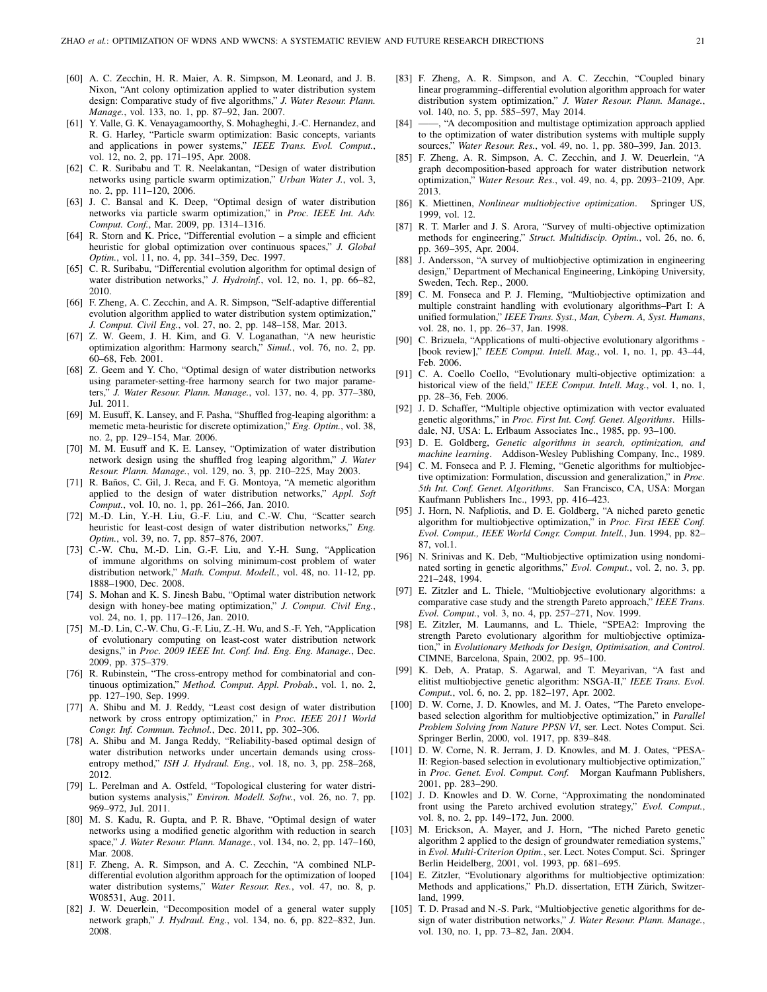- [60] A. C. Zecchin, H. R. Maier, A. R. Simpson, M. Leonard, and J. B. Nixon, "Ant colony optimization applied to water distribution system design: Comparative study of five algorithms," *J. Water Resour. Plann. Manage.*, vol. 133, no. 1, pp. 87–92, Jan. 2007.
- [61] Y. Valle, G. K. Venayagamoorthy, S. Mohagheghi, J.-C. Hernandez, and R. G. Harley, "Particle swarm optimization: Basic concepts, variants and applications in power systems," *IEEE Trans. Evol. Comput.*, vol. 12, no. 2, pp. 171–195, Apr. 2008.
- [62] C. R. Suribabu and T. R. Neelakantan, "Design of water distribution networks using particle swarm optimization," *Urban Water J.*, vol. 3, no. 2, pp. 111–120, 2006.
- [63] J. C. Bansal and K. Deep, "Optimal design of water distribution networks via particle swarm optimization," in *Proc. IEEE Int. Adv. Comput. Conf.*, Mar. 2009, pp. 1314–1316.
- [64] R. Storn and K. Price, "Differential evolution a simple and efficient heuristic for global optimization over continuous spaces," *J. Global Optim.*, vol. 11, no. 4, pp. 341–359, Dec. 1997.
- [65] C. R. Suribabu, "Differential evolution algorithm for optimal design of water distribution networks," *J. Hydroinf.*, vol. 12, no. 1, pp. 66–82, 2010.
- [66] F. Zheng, A. C. Zecchin, and A. R. Simpson, "Self-adaptive differential evolution algorithm applied to water distribution system optimization," *J. Comput. Civil Eng.*, vol. 27, no. 2, pp. 148–158, Mar. 2013.
- [67] Z. W. Geem, J. H. Kim, and G. V. Loganathan, "A new heuristic optimization algorithm: Harmony search," *Simul.*, vol. 76, no. 2, pp. 60–68, Feb. 2001.
- [68] Z. Geem and Y. Cho, "Optimal design of water distribution networks using parameter-setting-free harmony search for two major parameters," *J. Water Resour. Plann. Manage.*, vol. 137, no. 4, pp. 377–380, Jul. 2011.
- [69] M. Eusuff, K. Lansey, and F. Pasha, "Shuffled frog-leaping algorithm: a memetic meta-heuristic for discrete optimization," *Eng. Optim.*, vol. 38, no. 2, pp. 129–154, Mar. 2006.
- [70] M. M. Eusuff and K. E. Lansey, "Optimization of water distribution network design using the shuffled frog leaping algorithm," *J. Water Resour. Plann. Manage.*, vol. 129, no. 3, pp. 210–225, May 2003.
- [71] R. Baños, C. Gil, J. Reca, and F. G. Montoya, "A memetic algorithm applied to the design of water distribution networks," *Appl. Soft Comput.*, vol. 10, no. 1, pp. 261–266, Jan. 2010.
- [72] M.-D. Lin, Y.-H. Liu, G.-F. Liu, and C.-W. Chu, "Scatter search heuristic for least-cost design of water distribution networks," *Eng. Optim.*, vol. 39, no. 7, pp. 857–876, 2007.
- [73] C.-W. Chu, M.-D. Lin, G.-F. Liu, and Y.-H. Sung, "Application of immune algorithms on solving minimum-cost problem of water distribution network," *Math. Comput. Modell.*, vol. 48, no. 11-12, pp. 1888–1900, Dec. 2008.
- [74] S. Mohan and K. S. Jinesh Babu, "Optimal water distribution network design with honey-bee mating optimization," *J. Comput. Civil Eng.*, vol. 24, no. 1, pp. 117–126, Jan. 2010.
- [75] M.-D. Lin, C.-W. Chu, G.-F. Liu, Z.-H. Wu, and S.-F. Yeh, "Application of evolutionary computing on least-cost water distribution network designs," in *Proc. 2009 IEEE Int. Conf. Ind. Eng. Eng. Manage.*, Dec. 2009, pp. 375–379.
- [76] R. Rubinstein, "The cross-entropy method for combinatorial and continuous optimization," *Method. Comput. Appl. Probab.*, vol. 1, no. 2, pp. 127–190, Sep. 1999.
- [77] A. Shibu and M. J. Reddy, "Least cost design of water distribution network by cross entropy optimization," in *Proc. IEEE 2011 World Congr. Inf. Commun. Technol.*, Dec. 2011, pp. 302–306.
- [78] A. Shibu and M. Janga Reddy, "Reliability-based optimal design of water distribution networks under uncertain demands using crossentropy method," *ISH J. Hydraul. Eng.*, vol. 18, no. 3, pp. 258–268, 2012.
- [79] L. Perelman and A. Ostfeld, "Topological clustering for water distribution systems analysis," *Environ. Modell. Softw.*, vol. 26, no. 7, pp. 969–972, Jul. 2011.
- [80] M. S. Kadu, R. Gupta, and P. R. Bhave, "Optimal design of water networks using a modified genetic algorithm with reduction in search space," *J. Water Resour. Plann. Manage.*, vol. 134, no. 2, pp. 147–160, Mar. 2008.
- [81] F. Zheng, A. R. Simpson, and A. C. Zecchin, "A combined NLPdifferential evolution algorithm approach for the optimization of looped water distribution systems," *Water Resour. Res.*, vol. 47, no. 8, p. W08531, Aug. 2011.
- [82] J. W. Deuerlein, "Decomposition model of a general water supply network graph," *J. Hydraul. Eng.*, vol. 134, no. 6, pp. 822–832, Jun. 2008.
- [83] F. Zheng, A. R. Simpson, and A. C. Zecchin, "Coupled binary linear programming–differential evolution algorithm approach for water distribution system optimization," *J. Water Resour. Plann. Manage.*, vol. 140, no. 5, pp. 585–597, May 2014.
- [84] ——, "A decomposition and multistage optimization approach applied to the optimization of water distribution systems with multiple supply sources," *Water Resour. Res.*, vol. 49, no. 1, pp. 380–399, Jan. 2013.
- [85] F. Zheng, A. R. Simpson, A. C. Zecchin, and J. W. Deuerlein, "A graph decomposition-based approach for water distribution network optimization," *Water Resour. Res.*, vol. 49, no. 4, pp. 2093–2109, Apr. 2013.
- [86] K. Miettinen, *Nonlinear multiobjective optimization*. Springer US, 1999, vol. 12.
- [87] R. T. Marler and J. S. Arora, "Survey of multi-objective optimization methods for engineering," *Struct. Multidiscip. Optim.*, vol. 26, no. 6, pp. 369–395, Apr. 2004.
- [88] J. Andersson, "A survey of multiobjective optimization in engineering design," Department of Mechanical Engineering, Linköping University, Sweden, Tech. Rep., 2000.
- [89] C. M. Fonseca and P. J. Fleming, "Multiobjective optimization and multiple constraint handling with evolutionary algorithms–Part I: A unified formulation," *IEEE Trans. Syst., Man, Cybern. A, Syst. Humans*, vol. 28, no. 1, pp. 26–37, Jan. 1998.
- [90] C. Brizuela, "Applications of multi-objective evolutionary algorithms [book review]," *IEEE Comput. Intell. Mag.*, vol. 1, no. 1, pp. 43–44, Feb. 2006.
- [91] C. A. Coello Coello, "Evolutionary multi-objective optimization: a historical view of the field," *IEEE Comput. Intell. Mag.*, vol. 1, no. 1, pp. 28–36, Feb. 2006.
- [92] J. D. Schaffer, "Multiple objective optimization with vector evaluated genetic algorithms," in *Proc. First Int. Conf. Genet. Algorithms*. Hillsdale, NJ, USA: L. Erlbaum Associates Inc., 1985, pp. 93–100.
- [93] D. E. Goldberg, *Genetic algorithms in search, optimization, and machine learning*. Addison-Wesley Publishing Company, Inc., 1989.
- [94] C. M. Fonseca and P. J. Fleming, "Genetic algorithms for multiobjective optimization: Formulation, discussion and generalization," in *Proc. 5th Int. Conf. Genet. Algorithms*. San Francisco, CA, USA: Morgan Kaufmann Publishers Inc., 1993, pp. 416–423.
- [95] J. Horn, N. Nafpliotis, and D. E. Goldberg, "A niched pareto genetic algorithm for multiobjective optimization," in *Proc. First IEEE Conf. Evol. Comput., IEEE World Congr. Comput. Intell.*, Jun. 1994, pp. 82– 87, vol.1.
- [96] N. Srinivas and K. Deb, "Multiobjective optimization using nondominated sorting in genetic algorithms," *Evol. Comput.*, vol. 2, no. 3, pp. 221–248, 1994.
- [97] E. Zitzler and L. Thiele, "Multiobjective evolutionary algorithms: a comparative case study and the strength Pareto approach," *IEEE Trans. Evol. Comput.*, vol. 3, no. 4, pp. 257–271, Nov. 1999.
- [98] E. Zitzler, M. Laumanns, and L. Thiele, "SPEA2: Improving the strength Pareto evolutionary algorithm for multiobjective optimization," in *Evolutionary Methods for Design, Optimisation, and Control*. CIMNE, Barcelona, Spain, 2002, pp. 95–100.
- [99] K. Deb, A. Pratap, S. Agarwal, and T. Meyarivan, "A fast and elitist multiobjective genetic algorithm: NSGA-II," *IEEE Trans. Evol. Comput.*, vol. 6, no. 2, pp. 182–197, Apr. 2002.
- [100] D. W. Corne, J. D. Knowles, and M. J. Oates, "The Pareto envelopebased selection algorithm for multiobjective optimization," in *Parallel Problem Solving from Nature PPSN VI*, ser. Lect. Notes Comput. Sci. Springer Berlin, 2000, vol. 1917, pp. 839–848.
- [101] D. W. Corne, N. R. Jerram, J. D. Knowles, and M. J. Oates, "PESA-II: Region-based selection in evolutionary multiobjective optimization," in *Proc. Genet. Evol. Comput. Conf.* Morgan Kaufmann Publishers, 2001, pp. 283–290.
- [102] J. D. Knowles and D. W. Corne, "Approximating the nondominated front using the Pareto archived evolution strategy," *Evol. Comput.*, vol. 8, no. 2, pp. 149–172, Jun. 2000.
- [103] M. Erickson, A. Mayer, and J. Horn, "The niched Pareto genetic algorithm 2 applied to the design of groundwater remediation systems," in *Evol. Multi-Criterion Optim.*, ser. Lect. Notes Comput. Sci. Springer Berlin Heidelberg, 2001, vol. 1993, pp. 681–695.
- [104] E. Zitzler, "Evolutionary algorithms for multiobjective optimization: Methods and applications," Ph.D. dissertation, ETH Zürich, Switzerland, 1999.
- [105] T. D. Prasad and N.-S. Park, "Multiobjective genetic algorithms for design of water distribution networks," *J. Water Resour. Plann. Manage.*, vol. 130, no. 1, pp. 73–82, Jan. 2004.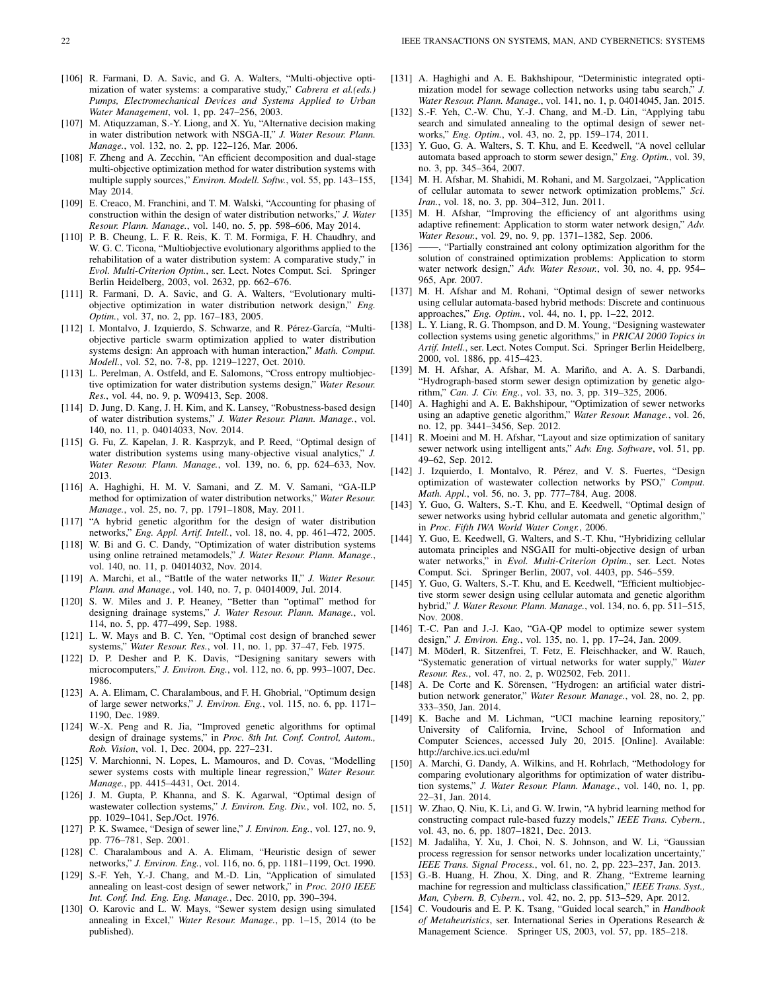- [107] M. Atiquzzaman, S.-Y. Liong, and X. Yu, "Alternative decision making in water distribution network with NSGA-II," *J. Water Resour. Plann. Manage.*, vol. 132, no. 2, pp. 122–126, Mar. 2006.
- [108] F. Zheng and A. Zecchin, "An efficient decomposition and dual-stage multi-objective optimization method for water distribution systems with multiple supply sources," *Environ. Modell. Softw.*, vol. 55, pp. 143–155, May 2014.
- [109] E. Creaco, M. Franchini, and T. M. Walski, "Accounting for phasing of construction within the design of water distribution networks," *J. Water Resour. Plann. Manage.*, vol. 140, no. 5, pp. 598–606, May 2014.
- [110] P. B. Cheung, L. F. R. Reis, K. T. M. Formiga, F. H. Chaudhry, and W. G. C. Ticona, "Multiobjective evolutionary algorithms applied to the rehabilitation of a water distribution system: A comparative study," in *Evol. Multi-Criterion Optim.*, ser. Lect. Notes Comput. Sci. Springer Berlin Heidelberg, 2003, vol. 2632, pp. 662–676.
- [111] R. Farmani, D. A. Savic, and G. A. Walters, "Evolutionary multiobjective optimization in water distribution network design," *Eng. Optim.*, vol. 37, no. 2, pp. 167–183, 2005.
- [112] I. Montalvo, J. Izquierdo, S. Schwarze, and R. Pérez-García, "Multiobjective particle swarm optimization applied to water distribution systems design: An approach with human interaction," *Math. Comput. Modell.*, vol. 52, no. 7-8, pp. 1219–1227, Oct. 2010.
- [113] L. Perelman, A. Ostfeld, and E. Salomons, "Cross entropy multiobjective optimization for water distribution systems design," *Water Resour. Res.*, vol. 44, no. 9, p. W09413, Sep. 2008.
- [114] D. Jung, D. Kang, J. H. Kim, and K. Lansey, "Robustness-based design of water distribution systems," *J. Water Resour. Plann. Manage.*, vol. 140, no. 11, p. 04014033, Nov. 2014.
- [115] G. Fu, Z. Kapelan, J. R. Kasprzyk, and P. Reed, "Optimal design of water distribution systems using many-objective visual analytics," *J. Water Resour. Plann. Manage.*, vol. 139, no. 6, pp. 624–633, Nov. 2013.
- [116] A. Haghighi, H. M. V. Samani, and Z. M. V. Samani, "GA-ILP method for optimization of water distribution networks," *Water Resour. Manage.*, vol. 25, no. 7, pp. 1791–1808, May. 2011.
- [117] "A hybrid genetic algorithm for the design of water distribution networks," *Eng. Appl. Artif. Intell.*, vol. 18, no. 4, pp. 461–472, 2005.
- [118] W. Bi and G. C. Dandy, "Optimization of water distribution systems using online retrained metamodels," *J. Water Resour. Plann. Manage.*, vol. 140, no. 11, p. 04014032, Nov. 2014.
- [119] A. Marchi, et al., "Battle of the water networks II," *J. Water Resour. Plann. and Manage.*, vol. 140, no. 7, p. 04014009, Jul. 2014.
- [120] S. W. Miles and J. P. Heaney, "Better than "optimal" method for designing drainage systems," *J. Water Resour. Plann. Manage.*, vol. 114, no. 5, pp. 477–499, Sep. 1988.
- [121] L. W. Mays and B. C. Yen, "Optimal cost design of branched sewer systems," *Water Resour. Res.*, vol. 11, no. 1, pp. 37–47, Feb. 1975.
- [122] D. P. Desher and P. K. Davis, "Designing sanitary sewers with microcomputers," *J. Environ. Eng.*, vol. 112, no. 6, pp. 993–1007, Dec. 1986.
- [123] A. A. Elimam, C. Charalambous, and F. H. Ghobrial, "Optimum design of large sewer networks," *J. Environ. Eng.*, vol. 115, no. 6, pp. 1171– 1190, Dec. 1989.
- [124] W.-X. Peng and R. Jia, "Improved genetic algorithms for optimal design of drainage systems," in *Proc. 8th Int. Conf. Control, Autom., Rob. Vision*, vol. 1, Dec. 2004, pp. 227–231.
- [125] V. Marchionni, N. Lopes, L. Mamouros, and D. Covas, "Modelling sewer systems costs with multiple linear regression," *Water Resour. Manage.*, pp. 4415–4431, Oct. 2014.
- [126] J. M. Gupta, P. Khanna, and S. K. Agarwal, "Optimal design of wastewater collection systems," *J. Environ. Eng. Div.*, vol. 102, no. 5, pp. 1029–1041, Sep./Oct. 1976.
- [127] P. K. Swamee, "Design of sewer line," *J. Environ. Eng.*, vol. 127, no. 9, pp. 776–781, Sep. 2001.
- [128] C. Charalambous and A. A. Elimam, "Heuristic design of sewer networks," *J. Environ. Eng.*, vol. 116, no. 6, pp. 1181–1199, Oct. 1990.
- [129] S.-F. Yeh, Y.-J. Chang, and M.-D. Lin, "Application of simulated annealing on least-cost design of sewer network," in *Proc. 2010 IEEE Int. Conf. Ind. Eng. Eng. Manage.*, Dec. 2010, pp. 390–394.
- [130] O. Karovic and L. W. Mays, "Sewer system design using simulated annealing in Excel," *Water Resour. Manage.*, pp. 1–15, 2014 (to be published).
- [131] A. Haghighi and A. E. Bakhshipour, "Deterministic integrated optimization model for sewage collection networks using tabu search," *J. Water Resour. Plann. Manage.*, vol. 141, no. 1, p. 04014045, Jan. 2015.
- [132] S.-F. Yeh, C.-W. Chu, Y.-J. Chang, and M.-D. Lin, "Applying tabu search and simulated annealing to the optimal design of sewer networks," *Eng. Optim.*, vol. 43, no. 2, pp. 159–174, 2011.
- [133] Y. Guo, G. A. Walters, S. T. Khu, and E. Keedwell, "A novel cellular automata based approach to storm sewer design," *Eng. Optim.*, vol. 39, no. 3, pp. 345–364, 2007.
- [134] M. H. Afshar, M. Shahidi, M. Rohani, and M. Sargolzaei, "Application of cellular automata to sewer network optimization problems," *Sci. Iran.*, vol. 18, no. 3, pp. 304–312, Jun. 2011.
- [135] M. H. Afshar, "Improving the efficiency of ant algorithms using adaptive refinement: Application to storm water network design," *Adv. Water Resour.*, vol. 29, no. 9, pp. 1371–1382, Sep. 2006.
- [136] ——, "Partially constrained ant colony optimization algorithm for the solution of constrained optimization problems: Application to storm water network design," *Adv. Water Resour.*, vol. 30, no. 4, pp. 954– 965, Apr. 2007.
- [137] M. H. Afshar and M. Rohani, "Optimal design of sewer networks using cellular automata-based hybrid methods: Discrete and continuous approaches," *Eng. Optim.*, vol. 44, no. 1, pp. 1–22, 2012.
- [138] L. Y. Liang, R. G. Thompson, and D. M. Young, "Designing wastewater collection systems using genetic algorithms," in *PRICAI 2000 Topics in Artif. Intell.*, ser. Lect. Notes Comput. Sci. Springer Berlin Heidelberg, 2000, vol. 1886, pp. 415–423.
- [139] M. H. Afshar, A. Afshar, M. A. Mariño, and A. A. S. Darbandi, "Hydrograph-based storm sewer design optimization by genetic algorithm," *Can. J. Civ. Eng.*, vol. 33, no. 3, pp. 319–325, 2006.
- [140] A. Haghighi and A. E. Bakhshipour, "Optimization of sewer networks using an adaptive genetic algorithm," *Water Resour. Manage.*, vol. 26, no. 12, pp. 3441–3456, Sep. 2012.
- [141] R. Moeini and M. H. Afshar, "Layout and size optimization of sanitary sewer network using intelligent ants," *Adv. Eng. Software*, vol. 51, pp. 49–62, Sep. 2012.
- [142] J. Izquierdo, I. Montalvo, R. Pérez, and V. S. Fuertes, "Design optimization of wastewater collection networks by PSO," *Comput. Math. Appl.*, vol. 56, no. 3, pp. 777–784, Aug. 2008.
- [143] Y. Guo, G. Walters, S.-T. Khu, and E. Keedwell, "Optimal design of sewer networks using hybrid cellular automata and genetic algorithm," in *Proc. Fifth IWA World Water Congr.*, 2006.
- [144] Y. Guo, E. Keedwell, G. Walters, and S.-T. Khu, "Hybridizing cellular automata principles and NSGAII for multi-objective design of urban water networks," in *Evol. Multi-Criterion Optim.*, ser. Lect. Notes Comput. Sci. Springer Berlin, 2007, vol. 4403, pp. 546–559.
- [145] Y. Guo, G. Walters, S.-T. Khu, and E. Keedwell, "Efficient multiobjective storm sewer design using cellular automata and genetic algorithm hybrid," *J. Water Resour. Plann. Manage.*, vol. 134, no. 6, pp. 511–515, Nov. 2008.
- [146] T.-C. Pan and J.-J. Kao, "GA-QP model to optimize sewer system design," *J. Environ. Eng.*, vol. 135, no. 1, pp. 17–24, Jan. 2009.
- [147] M. Möderl, R. Sitzenfrei, T. Fetz, E. Fleischhacker, and W. Rauch, "Systematic generation of virtual networks for water supply," *Water Resour. Res.*, vol. 47, no. 2, p. W02502, Feb. 2011.
- [148] A. De Corte and K. Sörensen, "Hydrogen: an artificial water distribution network generator," *Water Resour. Manage.*, vol. 28, no. 2, pp. 333–350, Jan. 2014.
- [149] K. Bache and M. Lichman, "UCI machine learning repository," University of California, Irvine, School of Information and Computer Sciences, accessed July 20, 2015. [Online]. Available: http://archive.ics.uci.edu/ml
- [150] A. Marchi, G. Dandy, A. Wilkins, and H. Rohrlach, "Methodology for comparing evolutionary algorithms for optimization of water distribution systems," *J. Water Resour. Plann. Manage.*, vol. 140, no. 1, pp. 22–31, Jan. 2014.
- [151] W. Zhao, Q. Niu, K. Li, and G. W. Irwin, "A hybrid learning method for constructing compact rule-based fuzzy models," *IEEE Trans. Cybern.*, vol. 43, no. 6, pp. 1807–1821, Dec. 2013.
- [152] M. Jadaliha, Y. Xu, J. Choi, N. S. Johnson, and W. Li, "Gaussian process regression for sensor networks under localization uncertainty," *IEEE Trans. Signal Process.*, vol. 61, no. 2, pp. 223–237, Jan. 2013.
- [153] G.-B. Huang, H. Zhou, X. Ding, and R. Zhang, "Extreme learning machine for regression and multiclass classification," *IEEE Trans. Syst., Man, Cybern. B, Cybern.*, vol. 42, no. 2, pp. 513–529, Apr. 2012.
- [154] C. Voudouris and E. P. K. Tsang, "Guided local search," in *Handbook of Metaheuristics*, ser. International Series in Operations Research & Management Science. Springer US, 2003, vol. 57, pp. 185–218.